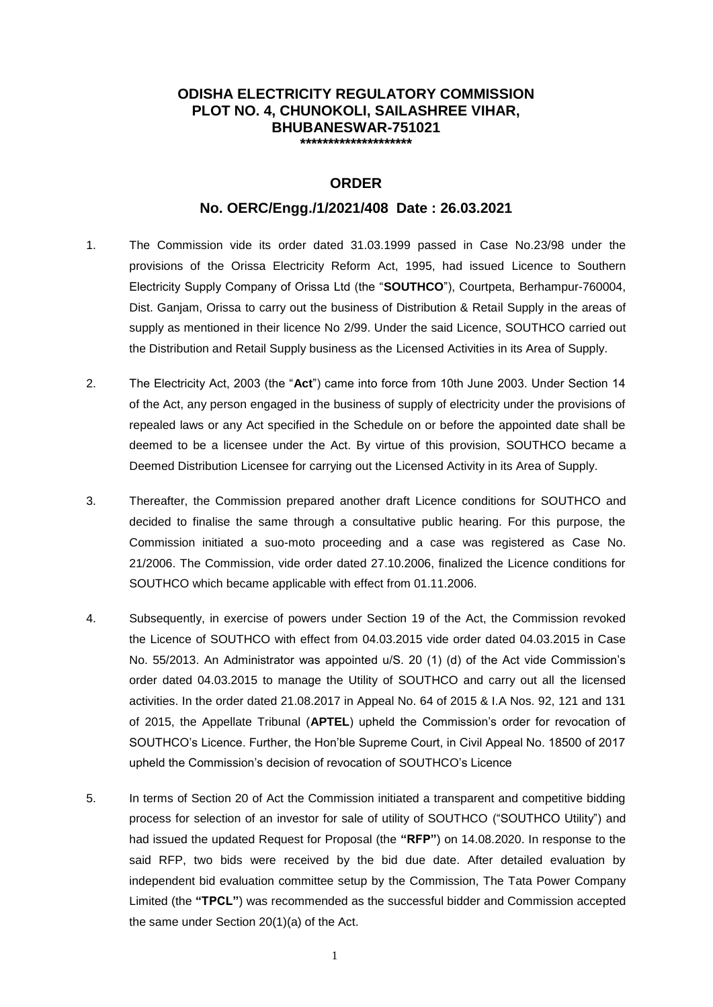#### **ODISHA ELECTRICITY REGULATORY COMMISSION PLOT NO. 4, CHUNOKOLI, SAILASHREE VIHAR, BHUBANESWAR-751021 \*\*\*\*\*\*\*\*\*\*\*\*\*\*\*\*\*\*\*\***

# **ORDER**

#### **No. OERC/Engg./1/2021/408 Date : 26.03.2021**

- 1. The Commission vide its order dated 31.03.1999 passed in Case No.23/98 under the provisions of the Orissa Electricity Reform Act, 1995, had issued Licence to Southern Electricity Supply Company of Orissa Ltd (the "**SOUTHCO**"), Courtpeta, Berhampur-760004, Dist. Ganjam, Orissa to carry out the business of Distribution & Retail Supply in the areas of supply as mentioned in their licence No 2/99. Under the said Licence, SOUTHCO carried out the Distribution and Retail Supply business as the Licensed Activities in its Area of Supply.
- 2. The Electricity Act, 2003 (the "**Act**") came into force from 10th June 2003. Under Section 14 of the Act, any person engaged in the business of supply of electricity under the provisions of repealed laws or any Act specified in the Schedule on or before the appointed date shall be deemed to be a licensee under the Act. By virtue of this provision, SOUTHCO became a Deemed Distribution Licensee for carrying out the Licensed Activity in its Area of Supply.
- 3. Thereafter, the Commission prepared another draft Licence conditions for SOUTHCO and decided to finalise the same through a consultative public hearing. For this purpose, the Commission initiated a suo-moto proceeding and a case was registered as Case No. 21/2006. The Commission, vide order dated 27.10.2006, finalized the Licence conditions for SOUTHCO which became applicable with effect from 01.11.2006.
- 4. Subsequently, in exercise of powers under Section 19 of the Act, the Commission revoked the Licence of SOUTHCO with effect from 04.03.2015 vide order dated 04.03.2015 in Case No. 55/2013. An Administrator was appointed u/S. 20 (1) (d) of the Act vide Commission's order dated 04.03.2015 to manage the Utility of SOUTHCO and carry out all the licensed activities. In the order dated 21.08.2017 in Appeal No. 64 of 2015 & I.A Nos. 92, 121 and 131 of 2015, the Appellate Tribunal (**APTEL**) upheld the Commission's order for revocation of SOUTHCO's Licence. Further, the Hon'ble Supreme Court, in Civil Appeal No. 18500 of 2017 upheld the Commission's decision of revocation of SOUTHCO's Licence
- 5. In terms of Section 20 of Act the Commission initiated a transparent and competitive bidding process for selection of an investor for sale of utility of SOUTHCO ("SOUTHCO Utility") and had issued the updated Request for Proposal (the **"RFP"**) on 14.08.2020. In response to the said RFP, two bids were received by the bid due date. After detailed evaluation by independent bid evaluation committee setup by the Commission, The Tata Power Company Limited (the **"TPCL"**) was recommended as the successful bidder and Commission accepted the same under Section 20(1)(a) of the Act.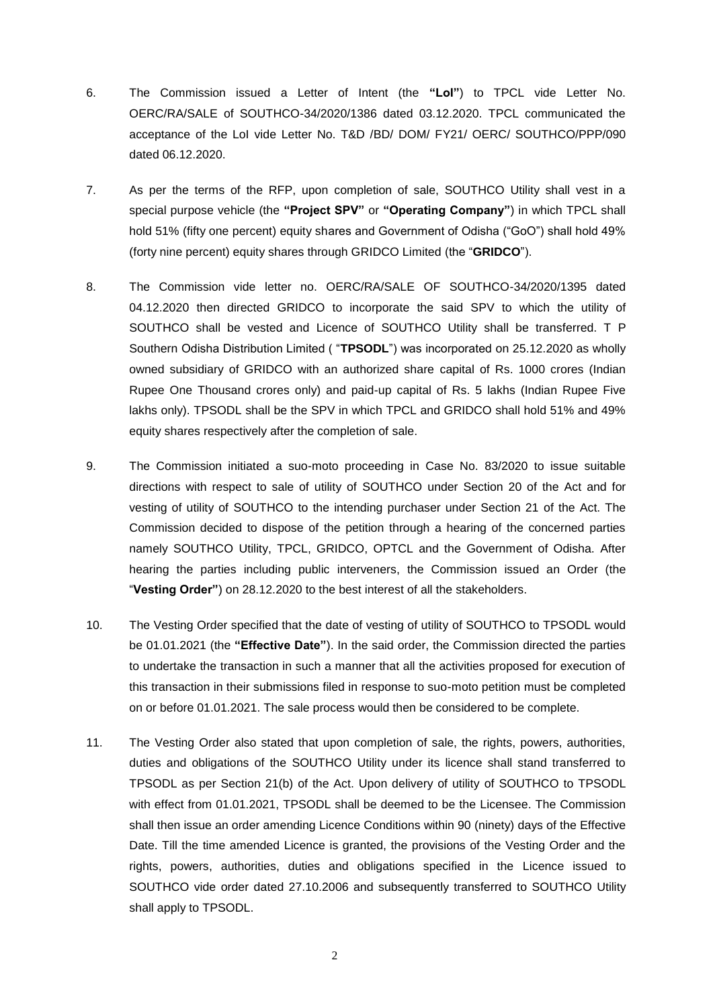- 6. The Commission issued a Letter of Intent (the **"LoI"**) to TPCL vide Letter No. OERC/RA/SALE of SOUTHCO-34/2020/1386 dated 03.12.2020. TPCL communicated the acceptance of the LoI vide Letter No. T&D /BD/ DOM/ FY21/ OERC/ SOUTHCO/PPP/090 dated 06.12.2020.
- 7. As per the terms of the RFP, upon completion of sale, SOUTHCO Utility shall vest in a special purpose vehicle (the **"Project SPV"** or **"Operating Company"**) in which TPCL shall hold 51% (fifty one percent) equity shares and Government of Odisha ("GoO") shall hold 49% (forty nine percent) equity shares through GRIDCO Limited (the "**GRIDCO**").
- 8. The Commission vide letter no. OERC/RA/SALE OF SOUTHCO-34/2020/1395 dated 04.12.2020 then directed GRIDCO to incorporate the said SPV to which the utility of SOUTHCO shall be vested and Licence of SOUTHCO Utility shall be transferred. T P Southern Odisha Distribution Limited ( "**TPSODL**") was incorporated on 25.12.2020 as wholly owned subsidiary of GRIDCO with an authorized share capital of Rs. 1000 crores (Indian Rupee One Thousand crores only) and paid-up capital of Rs. 5 lakhs (Indian Rupee Five lakhs only). TPSODL shall be the SPV in which TPCL and GRIDCO shall hold 51% and 49% equity shares respectively after the completion of sale.
- 9. The Commission initiated a suo-moto proceeding in Case No. 83/2020 to issue suitable directions with respect to sale of utility of SOUTHCO under Section 20 of the Act and for vesting of utility of SOUTHCO to the intending purchaser under Section 21 of the Act. The Commission decided to dispose of the petition through a hearing of the concerned parties namely SOUTHCO Utility, TPCL, GRIDCO, OPTCL and the Government of Odisha. After hearing the parties including public interveners, the Commission issued an Order (the "**Vesting Order"**) on 28.12.2020 to the best interest of all the stakeholders.
- 10. The Vesting Order specified that the date of vesting of utility of SOUTHCO to TPSODL would be 01.01.2021 (the **"Effective Date"**). In the said order, the Commission directed the parties to undertake the transaction in such a manner that all the activities proposed for execution of this transaction in their submissions filed in response to suo-moto petition must be completed on or before 01.01.2021. The sale process would then be considered to be complete.
- 11. The Vesting Order also stated that upon completion of sale, the rights, powers, authorities, duties and obligations of the SOUTHCO Utility under its licence shall stand transferred to TPSODL as per Section 21(b) of the Act. Upon delivery of utility of SOUTHCO to TPSODL with effect from 01.01.2021, TPSODL shall be deemed to be the Licensee. The Commission shall then issue an order amending Licence Conditions within 90 (ninety) days of the Effective Date. Till the time amended Licence is granted, the provisions of the Vesting Order and the rights, powers, authorities, duties and obligations specified in the Licence issued to SOUTHCO vide order dated 27.10.2006 and subsequently transferred to SOUTHCO Utility shall apply to TPSODL.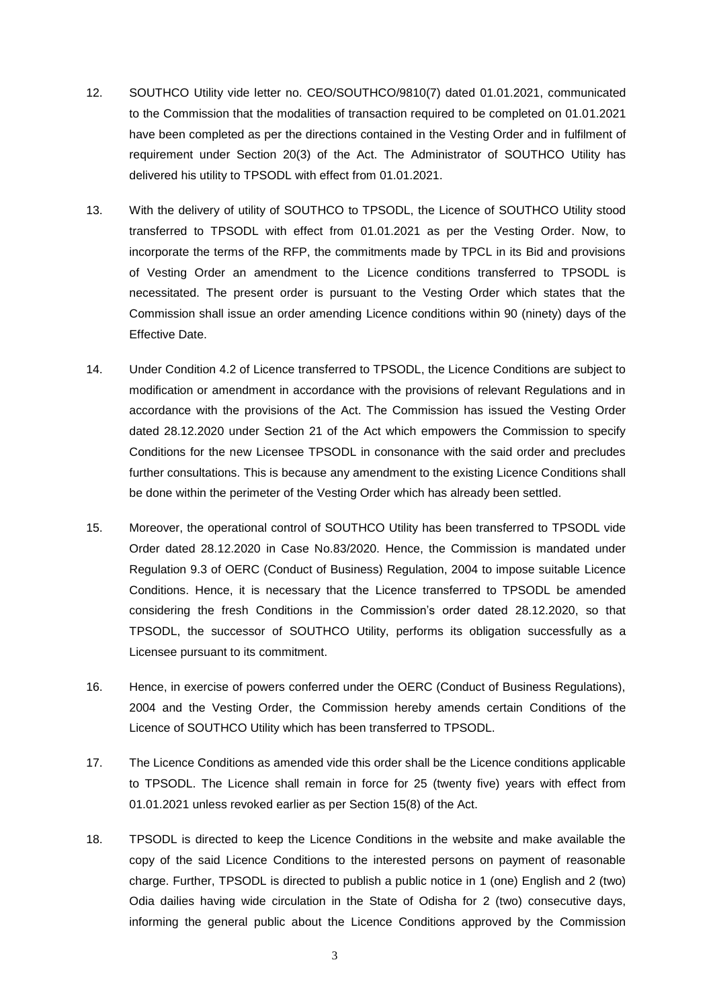- 12. SOUTHCO Utility vide letter no. CEO/SOUTHCO/9810(7) dated 01.01.2021, communicated to the Commission that the modalities of transaction required to be completed on 01.01.2021 have been completed as per the directions contained in the Vesting Order and in fulfilment of requirement under Section 20(3) of the Act. The Administrator of SOUTHCO Utility has delivered his utility to TPSODL with effect from 01.01.2021.
- 13. With the delivery of utility of SOUTHCO to TPSODL, the Licence of SOUTHCO Utility stood transferred to TPSODL with effect from 01.01.2021 as per the Vesting Order. Now, to incorporate the terms of the RFP, the commitments made by TPCL in its Bid and provisions of Vesting Order an amendment to the Licence conditions transferred to TPSODL is necessitated. The present order is pursuant to the Vesting Order which states that the Commission shall issue an order amending Licence conditions within 90 (ninety) days of the Effective Date.
- 14. Under Condition 4.2 of Licence transferred to TPSODL, the Licence Conditions are subject to modification or amendment in accordance with the provisions of relevant Regulations and in accordance with the provisions of the Act. The Commission has issued the Vesting Order dated 28.12.2020 under Section 21 of the Act which empowers the Commission to specify Conditions for the new Licensee TPSODL in consonance with the said order and precludes further consultations. This is because any amendment to the existing Licence Conditions shall be done within the perimeter of the Vesting Order which has already been settled.
- 15. Moreover, the operational control of SOUTHCO Utility has been transferred to TPSODL vide Order dated 28.12.2020 in Case No.83/2020. Hence, the Commission is mandated under Regulation 9.3 of OERC (Conduct of Business) Regulation, 2004 to impose suitable Licence Conditions. Hence, it is necessary that the Licence transferred to TPSODL be amended considering the fresh Conditions in the Commission's order dated 28.12.2020, so that TPSODL, the successor of SOUTHCO Utility, performs its obligation successfully as a Licensee pursuant to its commitment.
- 16. Hence, in exercise of powers conferred under the OERC (Conduct of Business Regulations), 2004 and the Vesting Order, the Commission hereby amends certain Conditions of the Licence of SOUTHCO Utility which has been transferred to TPSODL.
- 17. The Licence Conditions as amended vide this order shall be the Licence conditions applicable to TPSODL. The Licence shall remain in force for 25 (twenty five) years with effect from 01.01.2021 unless revoked earlier as per Section 15(8) of the Act.
- 18. TPSODL is directed to keep the Licence Conditions in the website and make available the copy of the said Licence Conditions to the interested persons on payment of reasonable charge. Further, TPSODL is directed to publish a public notice in 1 (one) English and 2 (two) Odia dailies having wide circulation in the State of Odisha for 2 (two) consecutive days, informing the general public about the Licence Conditions approved by the Commission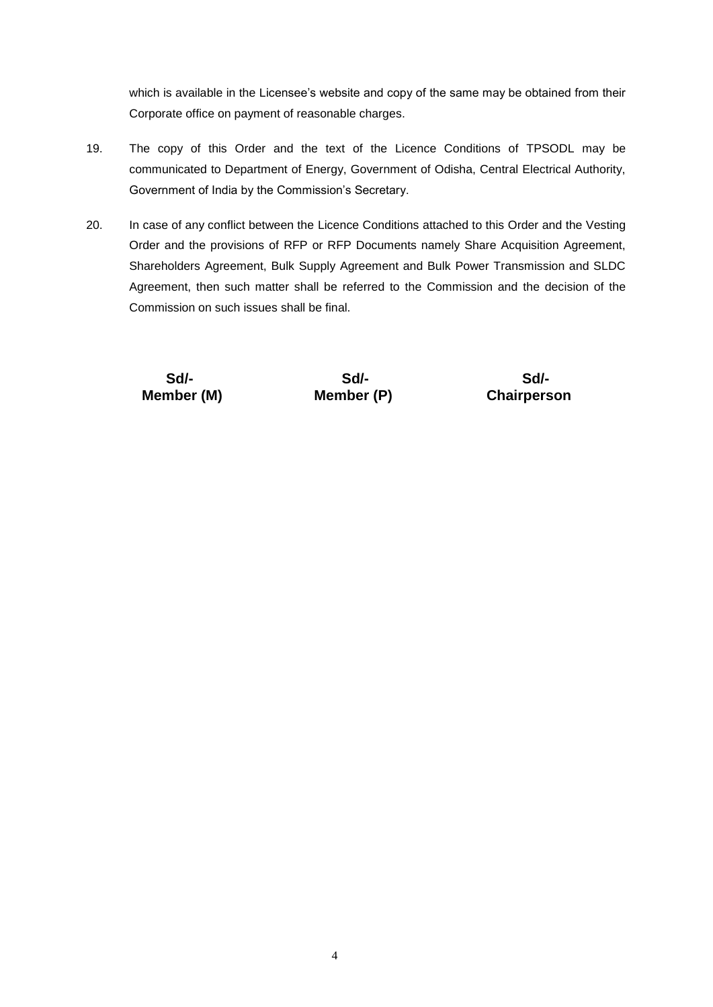which is available in the Licensee's website and copy of the same may be obtained from their Corporate office on payment of reasonable charges.

- 19. The copy of this Order and the text of the Licence Conditions of TPSODL may be communicated to Department of Energy, Government of Odisha, Central Electrical Authority, Government of India by the Commission's Secretary.
- 20. In case of any conflict between the Licence Conditions attached to this Order and the Vesting Order and the provisions of RFP or RFP Documents namely Share Acquisition Agreement, Shareholders Agreement, Bulk Supply Agreement and Bulk Power Transmission and SLDC Agreement, then such matter shall be referred to the Commission and the decision of the Commission on such issues shall be final.

 **Sd/- Sd/- Sd/- Member (M) Member (P) Chairperson**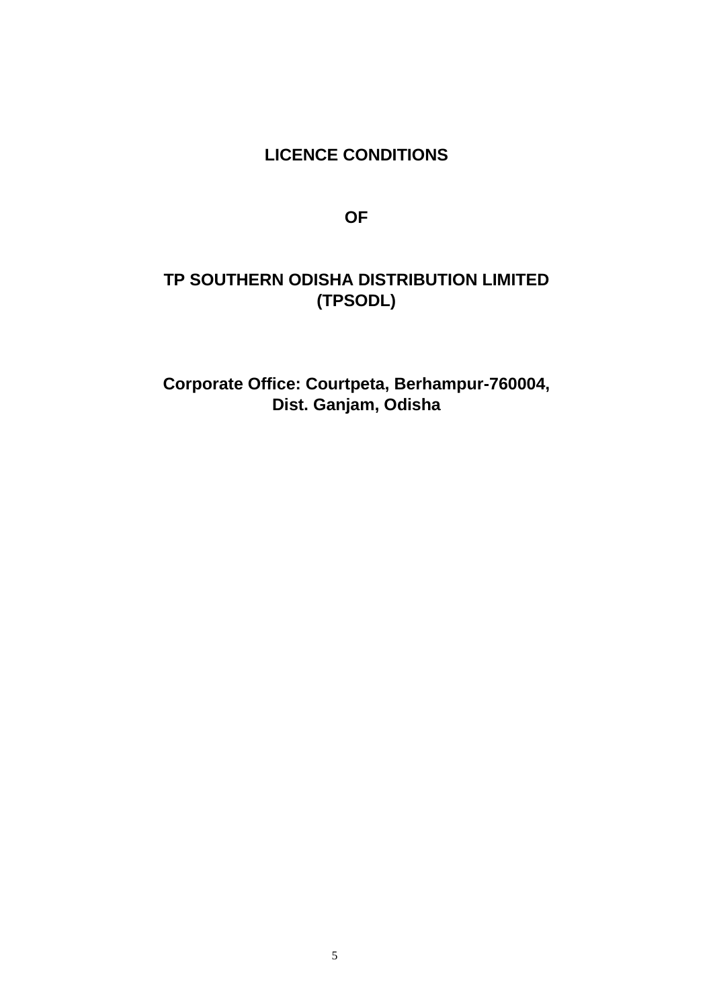# **LICENCE CONDITIONS**

**OF**

# **TP SOUTHERN ODISHA DISTRIBUTION LIMITED (TPSODL)**

**Corporate Office: Courtpeta, Berhampur-760004, Dist. Ganjam, Odisha**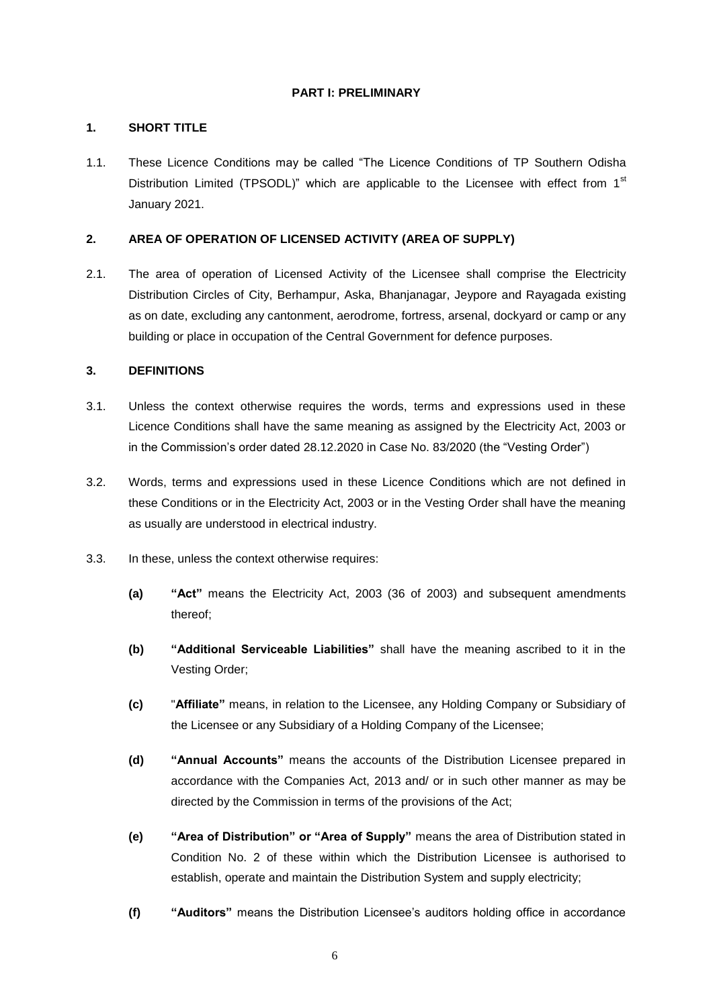# **PART I: PRELIMINARY**

# **1. SHORT TITLE**

1.1. These Licence Conditions may be called "The Licence Conditions of TP Southern Odisha Distribution Limited (TPSODL)" which are applicable to the Licensee with effect from  $1<sup>st</sup>$ January 2021.

# **2. AREA OF OPERATION OF LICENSED ACTIVITY (AREA OF SUPPLY)**

2.1. The area of operation of Licensed Activity of the Licensee shall comprise the Electricity Distribution Circles of City, Berhampur, Aska, Bhanjanagar, Jeypore and Rayagada existing as on date, excluding any cantonment, aerodrome, fortress, arsenal, dockyard or camp or any building or place in occupation of the Central Government for defence purposes.

# **3. DEFINITIONS**

- 3.1. Unless the context otherwise requires the words, terms and expressions used in these Licence Conditions shall have the same meaning as assigned by the Electricity Act, 2003 or in the Commission's order dated 28.12.2020 in Case No. 83/2020 (the "Vesting Order")
- 3.2. Words, terms and expressions used in these Licence Conditions which are not defined in these Conditions or in the Electricity Act, 2003 or in the Vesting Order shall have the meaning as usually are understood in electrical industry.
- 3.3. In these, unless the context otherwise requires:
	- **(a) "Act"** means the Electricity Act, 2003 (36 of 2003) and subsequent amendments thereof;
	- **(b) "Additional Serviceable Liabilities"** shall have the meaning ascribed to it in the Vesting Order;
	- **(c)** "**Affiliate"** means, in relation to the Licensee, any Holding Company or Subsidiary of the Licensee or any Subsidiary of a Holding Company of the Licensee;
	- **(d) "Annual Accounts"** means the accounts of the Distribution Licensee prepared in accordance with the Companies Act, 2013 and/ or in such other manner as may be directed by the Commission in terms of the provisions of the Act;
	- **(e) "Area of Distribution" or "Area of Supply"** means the area of Distribution stated in Condition No. 2 of these within which the Distribution Licensee is authorised to establish, operate and maintain the Distribution System and supply electricity;
	- **(f) "Auditors"** means the Distribution Licensee's auditors holding office in accordance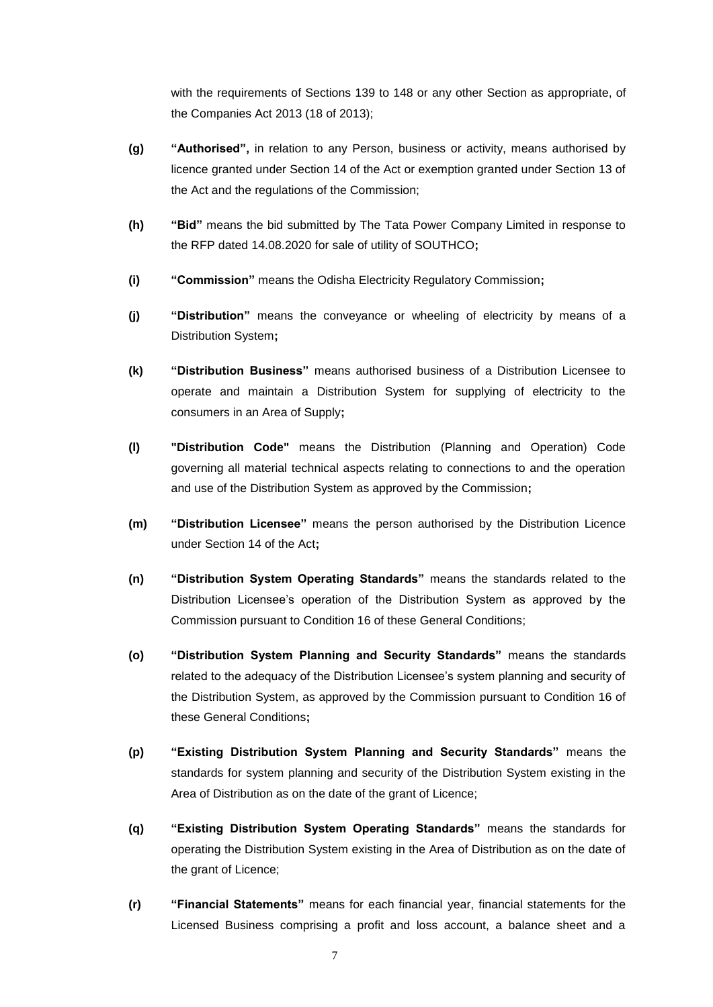with the requirements of Sections 139 to 148 or any other Section as appropriate, of the Companies Act 2013 (18 of 2013);

- **(g) "Authorised",** in relation to any Person, business or activity, means authorised by licence granted under Section 14 of the Act or exemption granted under Section 13 of the Act and the regulations of the Commission;
- **(h) "Bid"** means the bid submitted by The Tata Power Company Limited in response to the RFP dated 14.08.2020 for sale of utility of SOUTHCO**;**
- **(i) "Commission"** means the Odisha Electricity Regulatory Commission**;**
- **(j) "Distribution"** means the conveyance or wheeling of electricity by means of a Distribution System**;**
- **(k) "Distribution Business"** means authorised business of a Distribution Licensee to operate and maintain a Distribution System for supplying of electricity to the consumers in an Area of Supply**;**
- **(l) "Distribution Code"** means the Distribution (Planning and Operation) Code governing all material technical aspects relating to connections to and the operation and use of the Distribution System as approved by the Commission**;**
- **(m) "Distribution Licensee"** means the person authorised by the Distribution Licence under Section 14 of the Act**;**
- **(n) "Distribution System Operating Standards"** means the standards related to the Distribution Licensee's operation of the Distribution System as approved by the Commission pursuant to Condition 16 of these General Conditions;
- **(o) "Distribution System Planning and Security Standards"** means the standards related to the adequacy of the Distribution Licensee's system planning and security of the Distribution System, as approved by the Commission pursuant to Condition 16 of these General Conditions**;**
- **(p) "Existing Distribution System Planning and Security Standards"** means the standards for system planning and security of the Distribution System existing in the Area of Distribution as on the date of the grant of Licence;
- **(q) "Existing Distribution System Operating Standards"** means the standards for operating the Distribution System existing in the Area of Distribution as on the date of the grant of Licence;
- **(r) "Financial Statements"** means for each financial year, financial statements for the Licensed Business comprising a profit and loss account, a balance sheet and a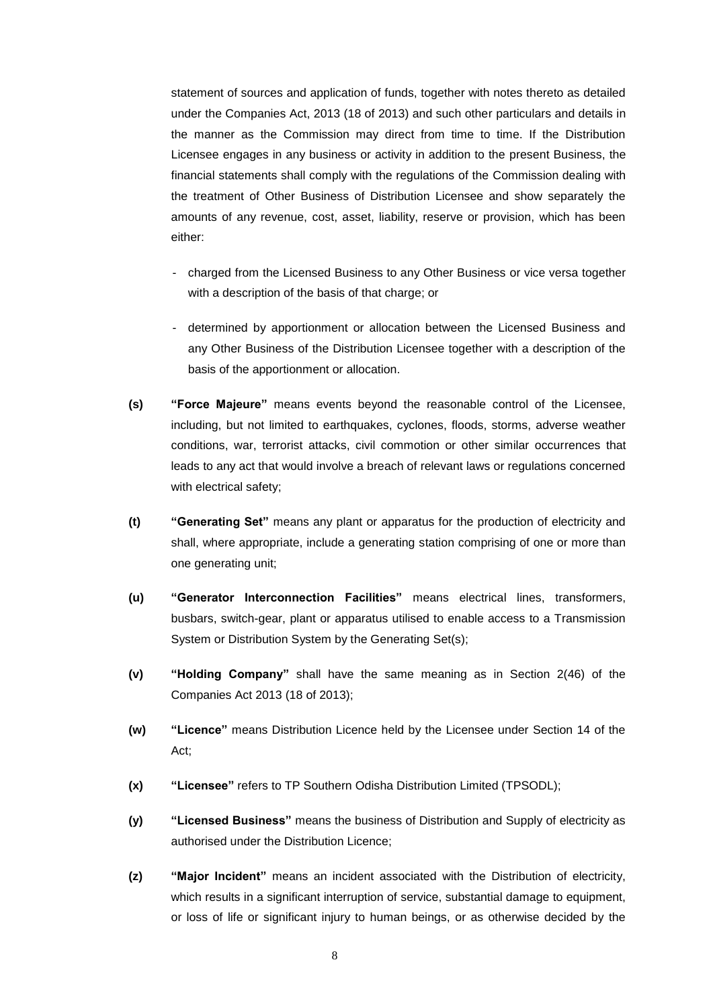statement of sources and application of funds, together with notes thereto as detailed under the Companies Act, 2013 (18 of 2013) and such other particulars and details in the manner as the Commission may direct from time to time. If the Distribution Licensee engages in any business or activity in addition to the present Business, the financial statements shall comply with the regulations of the Commission dealing with the treatment of Other Business of Distribution Licensee and show separately the amounts of any revenue, cost, asset, liability, reserve or provision, which has been either:

- charged from the Licensed Business to any Other Business or vice versa together with a description of the basis of that charge; or
- determined by apportionment or allocation between the Licensed Business and any Other Business of the Distribution Licensee together with a description of the basis of the apportionment or allocation.
- **(s) "Force Majeure"** means events beyond the reasonable control of the Licensee, including, but not limited to earthquakes, cyclones, floods, storms, adverse weather conditions, war, terrorist attacks, civil commotion or other similar occurrences that leads to any act that would involve a breach of relevant laws or regulations concerned with electrical safety;
- **(t) "Generating Set"** means any plant or apparatus for the production of electricity and shall, where appropriate, include a generating station comprising of one or more than one generating unit;
- **(u) "Generator Interconnection Facilities"** means electrical lines, transformers, busbars, switch-gear, plant or apparatus utilised to enable access to a Transmission System or Distribution System by the Generating Set(s);
- **(v) "Holding Company"** shall have the same meaning as in Section 2(46) of the Companies Act 2013 (18 of 2013);
- **(w) "Licence"** means Distribution Licence held by the Licensee under Section 14 of the Act;
- **(x) "Licensee"** refers to TP Southern Odisha Distribution Limited (TPSODL);
- **(y) "Licensed Business"** means the business of Distribution and Supply of electricity as authorised under the Distribution Licence;
- **(z) "Major Incident"** means an incident associated with the Distribution of electricity, which results in a significant interruption of service, substantial damage to equipment, or loss of life or significant injury to human beings, or as otherwise decided by the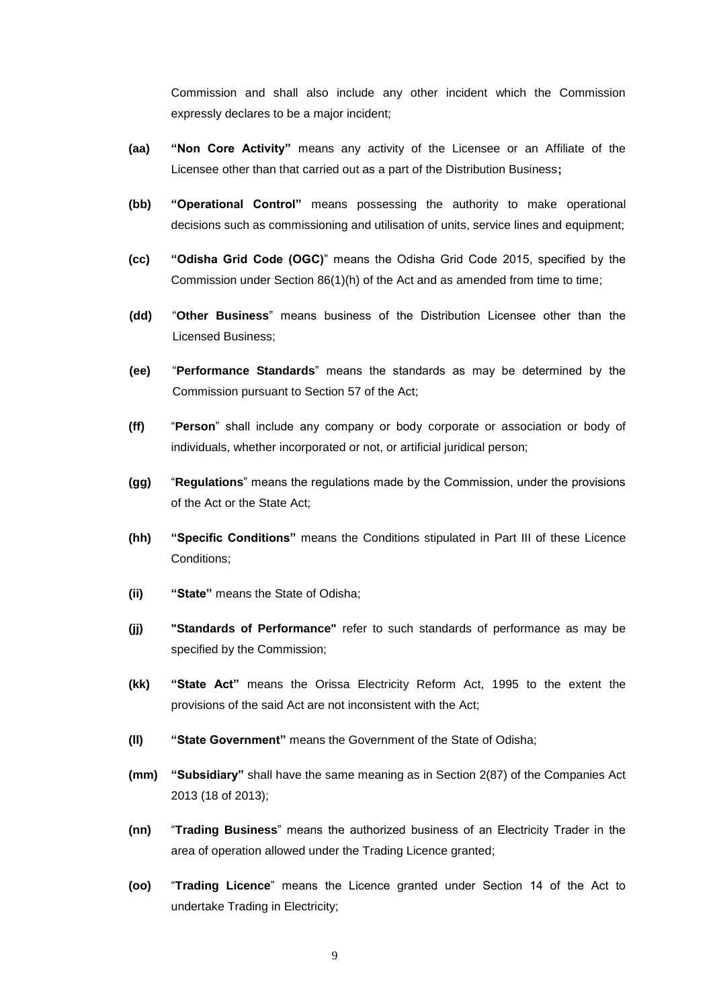Commission and shall also include any other incident which the Commission expressly declares to be a major incident;

- **(aa) "Non Core Activity"** means any activity of the Licensee or an Affiliate of the Licensee other than that carried out as a part of the Distribution Business**;**
- **(bb) "Operational Control"** means possessing the authority to make operational decisions such as commissioning and utilisation of units, service lines and equipment;
- **(cc) "Odisha Grid Code (OGC)**" means the Odisha Grid Code 2015, specified by the Commission under Section 86(1)(h) of the Act and as amended from time to time;
- **(dd)** "**Other Business**" means business of the Distribution Licensee other than the Licensed Business;
- **(ee)** "**Performance Standards**" means the standards as may be determined by the Commission pursuant to Section 57 of the Act;
- **(ff)** "**Person**" shall include any company or body corporate or association or body of individuals, whether incorporated or not, or artificial juridical person;
- **(gg)** "**Regulations**" means the regulations made by the Commission, under the provisions of the Act or the State Act;
- **(hh) "Specific Conditions"** means the Conditions stipulated in Part III of these Licence Conditions;
- **(ii) "State"** means the State of Odisha;
- **(jj) "Standards of Performance"** refer to such standards of performance as may be specified by the Commission;
- **(kk) "State Act"** means the Orissa Electricity Reform Act, 1995 to the extent the provisions of the said Act are not inconsistent with the Act;
- **(ll) "State Government"** means the Government of the State of Odisha;
- **(mm) "Subsidiary"** shall have the same meaning as in Section 2(87) of the Companies Act 2013 (18 of 2013);
- **(nn)** "**Trading Business**" means the authorized business of an Electricity Trader in the area of operation allowed under the Trading Licence granted;
- **(oo)** "**Trading Licence**" means the Licence granted under Section 14 of the Act to undertake Trading in Electricity;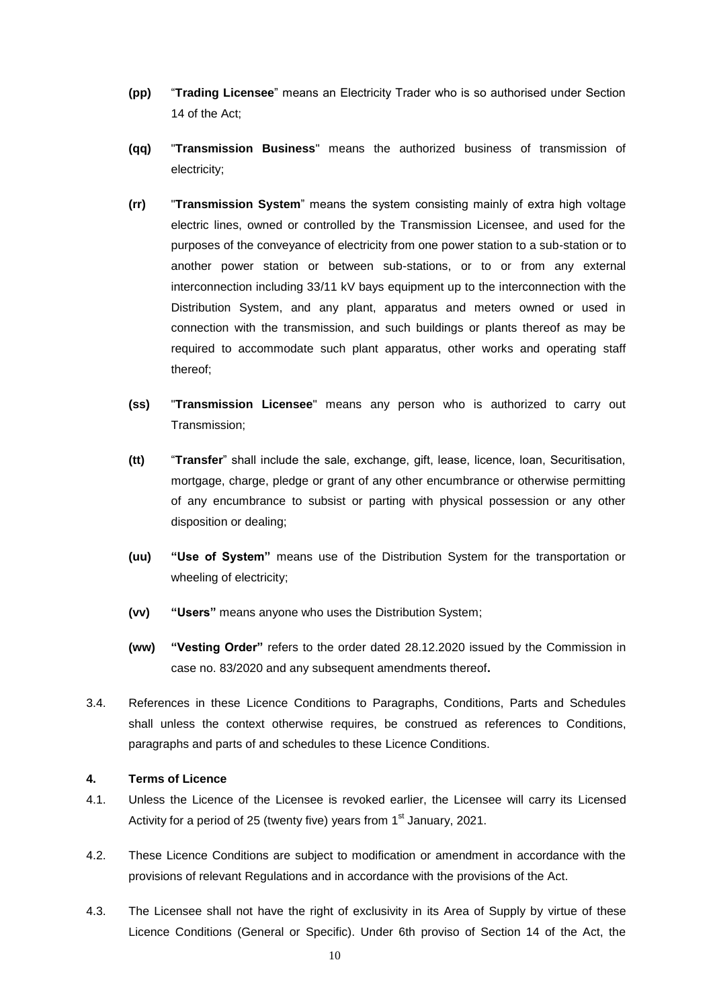- **(pp)** "**Trading Licensee**" means an Electricity Trader who is so authorised under Section 14 of the Act;
- **(qq)** "**Transmission Business**" means the authorized business of transmission of electricity;
- **(rr)** "**Transmission System**" means the system consisting mainly of extra high voltage electric lines, owned or controlled by the Transmission Licensee, and used for the purposes of the conveyance of electricity from one power station to a sub-station or to another power station or between sub-stations, or to or from any external interconnection including 33/11 kV bays equipment up to the interconnection with the Distribution System, and any plant, apparatus and meters owned or used in connection with the transmission, and such buildings or plants thereof as may be required to accommodate such plant apparatus, other works and operating staff thereof;
- **(ss)** "**Transmission Licensee**" means any person who is authorized to carry out Transmission;
- **(tt)** "**Transfer**" shall include the sale, exchange, gift, lease, licence, loan, Securitisation, mortgage, charge, pledge or grant of any other encumbrance or otherwise permitting of any encumbrance to subsist or parting with physical possession or any other disposition or dealing;
- **(uu) "Use of System"** means use of the Distribution System for the transportation or wheeling of electricity;
- **(vv) "Users"** means anyone who uses the Distribution System;
- **(ww) "Vesting Order"** refers to the order dated 28.12.2020 issued by the Commission in case no. 83/2020 and any subsequent amendments thereof**.**
- 3.4. References in these Licence Conditions to Paragraphs, Conditions, Parts and Schedules shall unless the context otherwise requires, be construed as references to Conditions, paragraphs and parts of and schedules to these Licence Conditions.

# **4. Terms of Licence**

- 4.1. Unless the Licence of the Licensee is revoked earlier, the Licensee will carry its Licensed Activity for a period of 25 (twenty five) years from  $1<sup>st</sup>$  January, 2021.
- 4.2. These Licence Conditions are subject to modification or amendment in accordance with the provisions of relevant Regulations and in accordance with the provisions of the Act.
- 4.3. The Licensee shall not have the right of exclusivity in its Area of Supply by virtue of these Licence Conditions (General or Specific). Under 6th proviso of Section 14 of the Act, the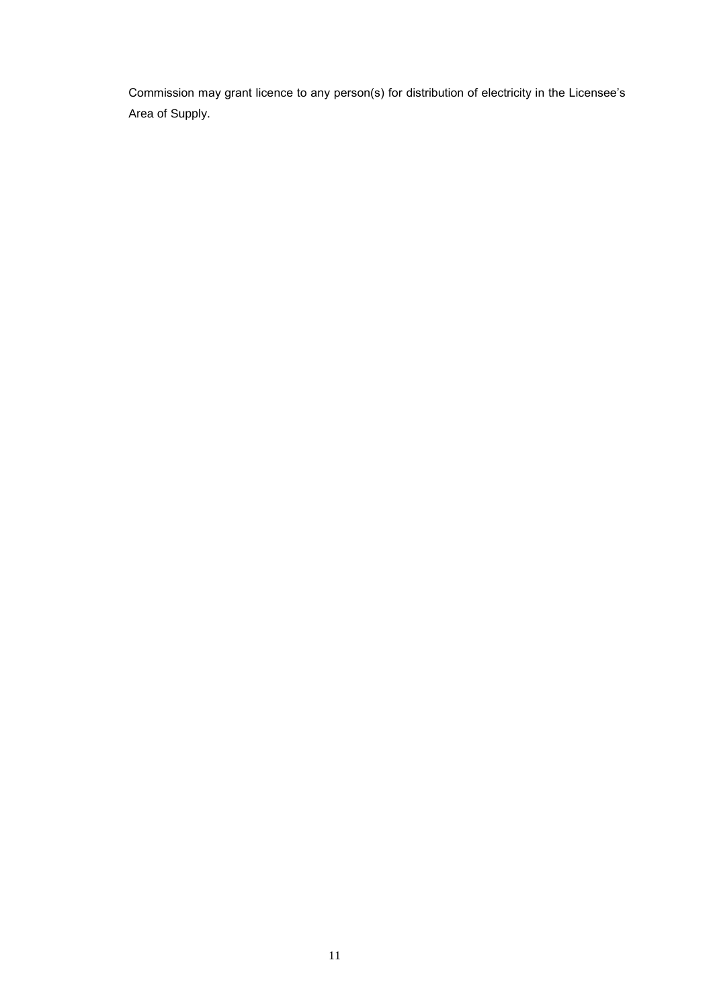Commission may grant licence to any person(s) for distribution of electricity in the Licensee's Area of Supply.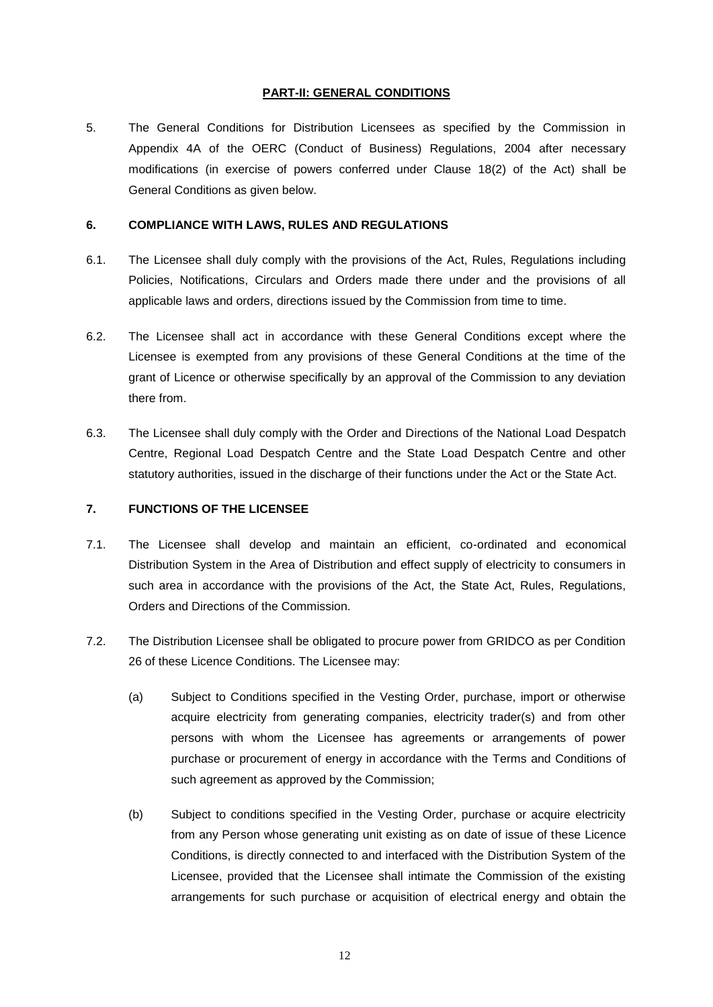# **PART-II: GENERAL CONDITIONS**

5. The General Conditions for Distribution Licensees as specified by the Commission in Appendix 4A of the OERC (Conduct of Business) Regulations, 2004 after necessary modifications (in exercise of powers conferred under Clause [18\(](#page-24-0)2) of the Act) shall be General Conditions as given below.

#### **6. COMPLIANCE WITH LAWS, RULES AND REGULATIONS**

- 6.1. The Licensee shall duly comply with the provisions of the Act, Rules, Regulations including Policies, Notifications, Circulars and Orders made there under and the provisions of all applicable laws and orders, directions issued by the Commission from time to time.
- 6.2. The Licensee shall act in accordance with these General Conditions except where the Licensee is exempted from any provisions of these General Conditions at the time of the grant of Licence or otherwise specifically by an approval of the Commission to any deviation there from.
- 6.3. The Licensee shall duly comply with the Order and Directions of the National Load Despatch Centre, Regional Load Despatch Centre and the State Load Despatch Centre and other statutory authorities, issued in the discharge of their functions under the Act or the State Act.

#### **7. FUNCTIONS OF THE LICENSEE**

- 7.1. The Licensee shall develop and maintain an efficient, co-ordinated and economical Distribution System in the Area of Distribution and effect supply of electricity to consumers in such area in accordance with the provisions of the Act, the State Act, Rules, Regulations, Orders and Directions of the Commission.
- 7.2. The Distribution Licensee shall be obligated to procure power from GRIDCO as per Condition 26 of these Licence Conditions. The Licensee may:
	- (a) Subject to Conditions specified in the Vesting Order, purchase, import or otherwise acquire electricity from generating companies, electricity trader(s) and from other persons with whom the Licensee has agreements or arrangements of power purchase or procurement of energy in accordance with the Terms and Conditions of such agreement as approved by the Commission;
	- (b) Subject to conditions specified in the Vesting Order, purchase or acquire electricity from any Person whose generating unit existing as on date of issue of these Licence Conditions, is directly connected to and interfaced with the Distribution System of the Licensee, provided that the Licensee shall intimate the Commission of the existing arrangements for such purchase or acquisition of electrical energy and obtain the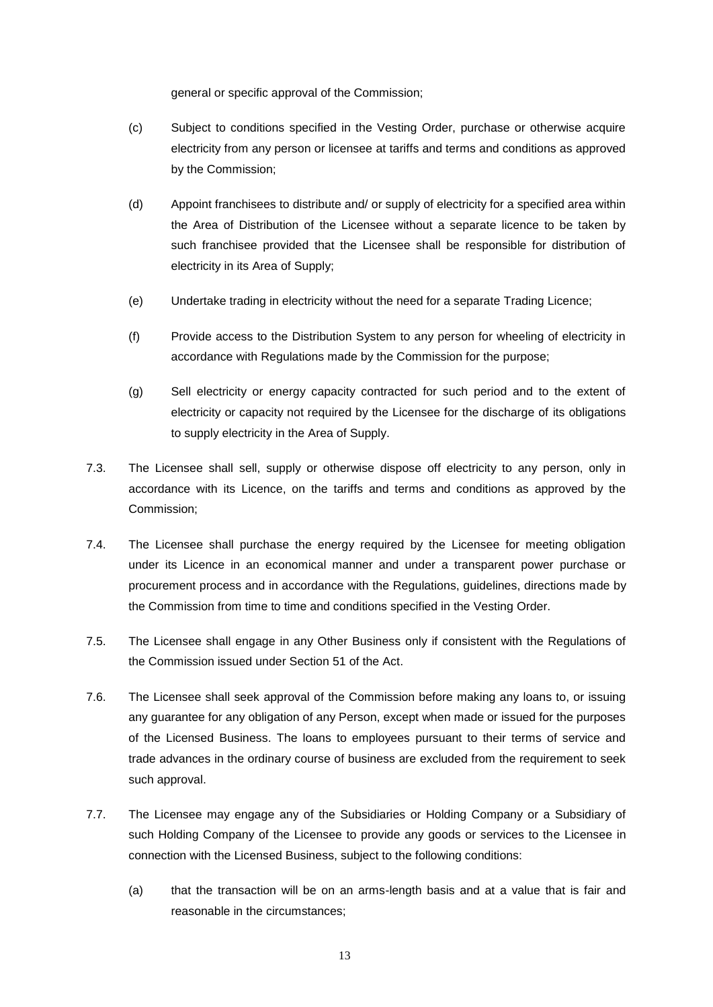general or specific approval of the Commission;

- (c) Subject to conditions specified in the Vesting Order, purchase or otherwise acquire electricity from any person or licensee at tariffs and terms and conditions as approved by the Commission;
- (d) Appoint franchisees to distribute and/ or supply of electricity for a specified area within the Area of Distribution of the Licensee without a separate licence to be taken by such franchisee provided that the Licensee shall be responsible for distribution of electricity in its Area of Supply;
- (e) Undertake trading in electricity without the need for a separate Trading Licence;
- (f) Provide access to the Distribution System to any person for wheeling of electricity in accordance with Regulations made by the Commission for the purpose;
- (g) Sell electricity or energy capacity contracted for such period and to the extent of electricity or capacity not required by the Licensee for the discharge of its obligations to supply electricity in the Area of Supply.
- 7.3. The Licensee shall sell, supply or otherwise dispose off electricity to any person, only in accordance with its Licence, on the tariffs and terms and conditions as approved by the Commission;
- 7.4. The Licensee shall purchase the energy required by the Licensee for meeting obligation under its Licence in an economical manner and under a transparent power purchase or procurement process and in accordance with the Regulations, guidelines, directions made by the Commission from time to time and conditions specified in the Vesting Order.
- 7.5. The Licensee shall engage in any Other Business only if consistent with the Regulations of the Commission issued under Section 51 of the Act.
- 7.6. The Licensee shall seek approval of the Commission before making any loans to, or issuing any guarantee for any obligation of any Person, except when made or issued for the purposes of the Licensed Business. The loans to employees pursuant to their terms of service and trade advances in the ordinary course of business are excluded from the requirement to seek such approval.
- 7.7. The Licensee may engage any of the Subsidiaries or Holding Company or a Subsidiary of such Holding Company of the Licensee to provide any goods or services to the Licensee in connection with the Licensed Business, subject to the following conditions:
	- (a) that the transaction will be on an arms-length basis and at a value that is fair and reasonable in the circumstances;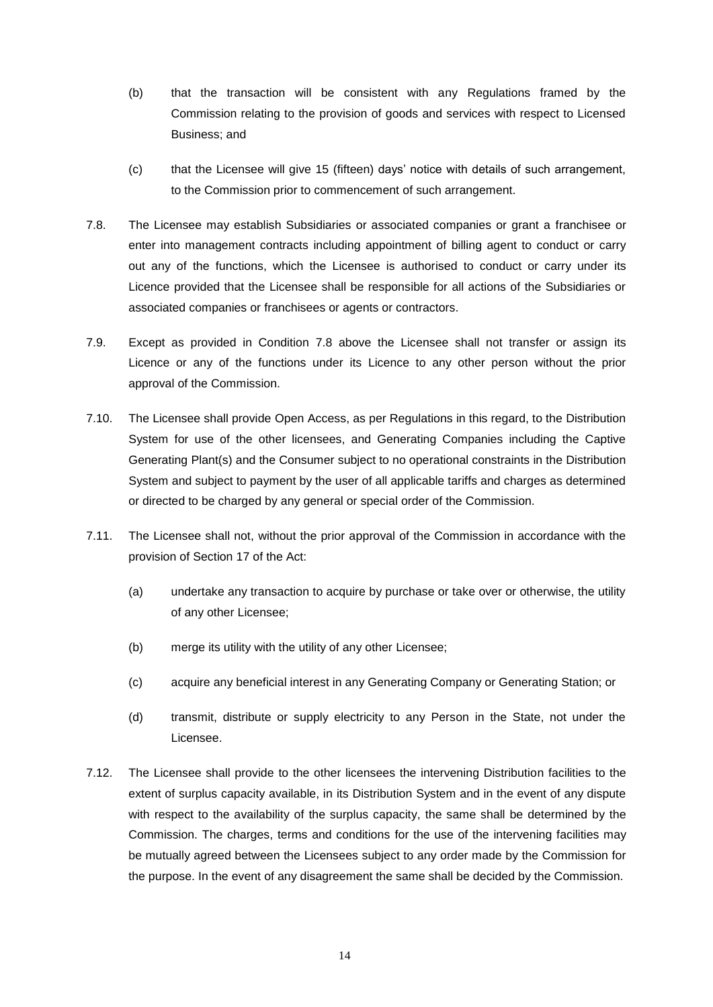- (b) that the transaction will be consistent with any Regulations framed by the Commission relating to the provision of goods and services with respect to Licensed Business; and
- (c) that the Licensee will give 15 (fifteen) days' notice with details of such arrangement, to the Commission prior to commencement of such arrangement.
- <span id="page-13-0"></span>7.8. The Licensee may establish Subsidiaries or associated companies or grant a franchisee or enter into management contracts including appointment of billing agent to conduct or carry out any of the functions, which the Licensee is authorised to conduct or carry under its Licence provided that the Licensee shall be responsible for all actions of the Subsidiaries or associated companies or franchisees or agents or contractors.
- 7.9. Except as provided in Condition [7.8](#page-13-0) above the Licensee shall not transfer or assign its Licence or any of the functions under its Licence to any other person without the prior approval of the Commission.
- 7.10. The Licensee shall provide Open Access, as per Regulations in this regard, to the Distribution System for use of the other licensees, and Generating Companies including the Captive Generating Plant(s) and the Consumer subject to no operational constraints in the Distribution System and subject to payment by the user of all applicable tariffs and charges as determined or directed to be charged by any general or special order of the Commission.
- 7.11. The Licensee shall not, without the prior approval of the Commission in accordance with the provision of Section 17 of the Act:
	- (a) undertake any transaction to acquire by purchase or take over or otherwise, the utility of any other Licensee;
	- (b) merge its utility with the utility of any other Licensee;
	- (c) acquire any beneficial interest in any Generating Company or Generating Station; or
	- (d) transmit, distribute or supply electricity to any Person in the State, not under the Licensee.
- 7.12. The Licensee shall provide to the other licensees the intervening Distribution facilities to the extent of surplus capacity available, in its Distribution System and in the event of any dispute with respect to the availability of the surplus capacity, the same shall be determined by the Commission. The charges, terms and conditions for the use of the intervening facilities may be mutually agreed between the Licensees subject to any order made by the Commission for the purpose. In the event of any disagreement the same shall be decided by the Commission.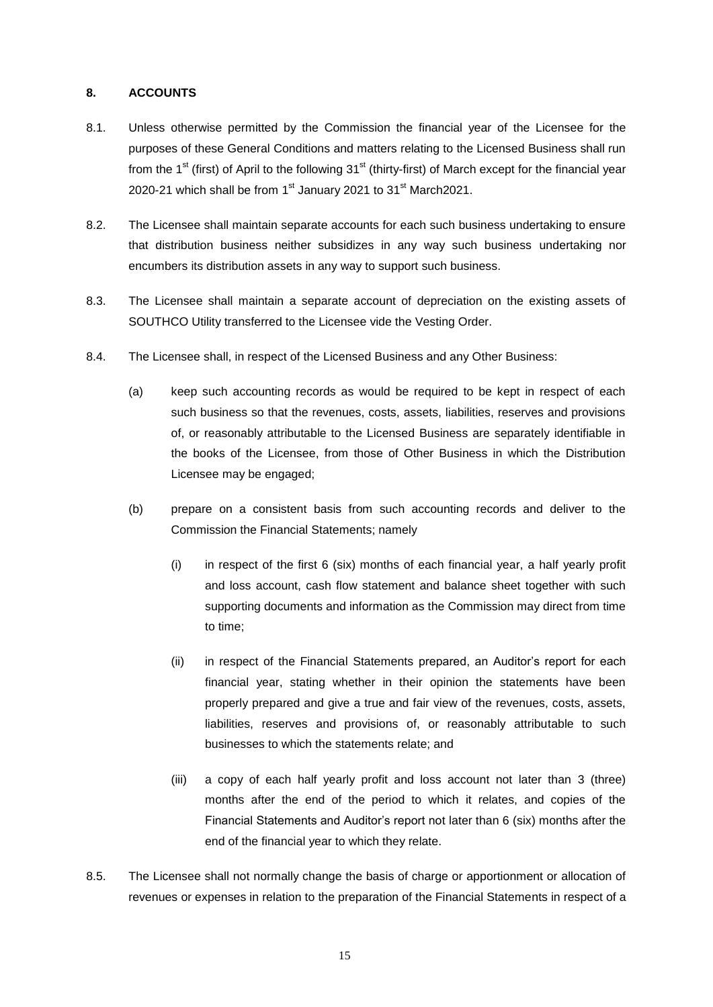# **8. ACCOUNTS**

- 8.1. Unless otherwise permitted by the Commission the financial year of the Licensee for the purposes of these General Conditions and matters relating to the Licensed Business shall run from the 1<sup>st</sup> (first) of April to the following 31<sup>st</sup> (thirty-first) of March except for the financial year 2020-21 which shall be from 1<sup>st</sup> January 2021 to 31<sup>st</sup> March2021.
- <span id="page-14-0"></span>8.2. The Licensee shall maintain separate accounts for each such business undertaking to ensure that distribution business neither subsidizes in any way such business undertaking nor encumbers its distribution assets in any way to support such business.
- 8.3. The Licensee shall maintain a separate account of depreciation on the existing assets of SOUTHCO Utility transferred to the Licensee vide the Vesting Order.
- 8.4. The Licensee shall, in respect of the Licensed Business and any Other Business:
	- (a) keep such accounting records as would be required to be kept in respect of each such business so that the revenues, costs, assets, liabilities, reserves and provisions of, or reasonably attributable to the Licensed Business are separately identifiable in the books of the Licensee, from those of Other Business in which the Distribution Licensee may be engaged;
	- (b) prepare on a consistent basis from such accounting records and deliver to the Commission the Financial Statements; namely
		- (i) in respect of the first 6 (six) months of each financial year, a half yearly profit and loss account, cash flow statement and balance sheet together with such supporting documents and information as the Commission may direct from time to time;
		- (ii) in respect of the Financial Statements prepared, an Auditor's report for each financial year, stating whether in their opinion the statements have been properly prepared and give a true and fair view of the revenues, costs, assets, liabilities, reserves and provisions of, or reasonably attributable to such businesses to which the statements relate; and
		- (iii) a copy of each half yearly profit and loss account not later than 3 (three) months after the end of the period to which it relates, and copies of the Financial Statements and Auditor's report not later than 6 (six) months after the end of the financial year to which they relate.
- 8.5. The Licensee shall not normally change the basis of charge or apportionment or allocation of revenues or expenses in relation to the preparation of the Financial Statements in respect of a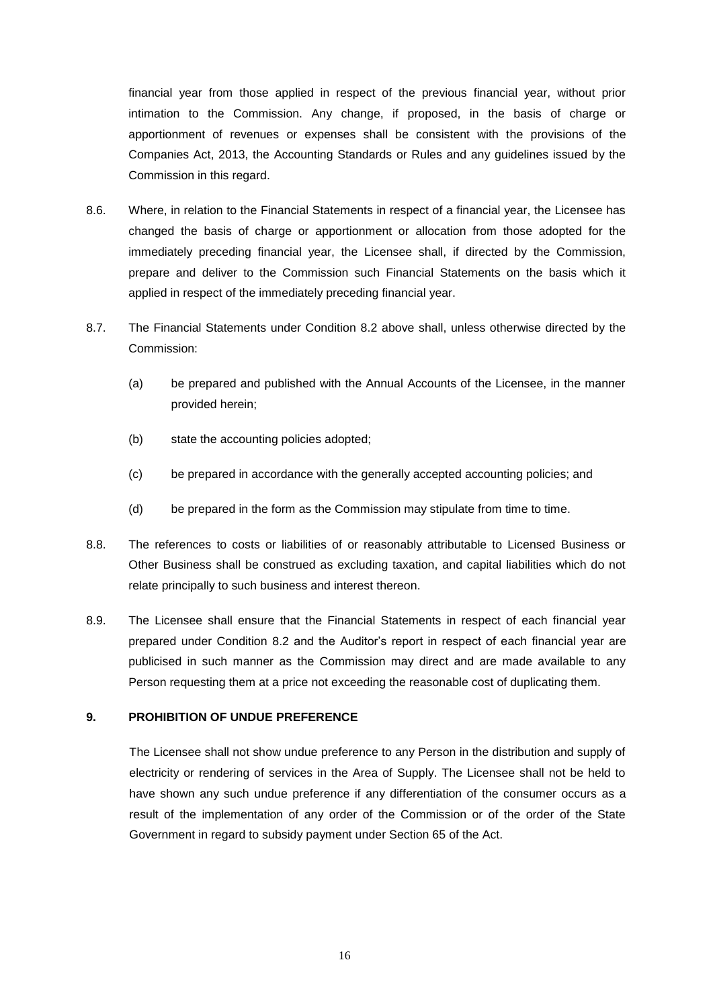financial year from those applied in respect of the previous financial year, without prior intimation to the Commission. Any change, if proposed, in the basis of charge or apportionment of revenues or expenses shall be consistent with the provisions of the Companies Act, 2013, the Accounting Standards or Rules and any guidelines issued by the Commission in this regard.

- 8.6. Where, in relation to the Financial Statements in respect of a financial year, the Licensee has changed the basis of charge or apportionment or allocation from those adopted for the immediately preceding financial year, the Licensee shall, if directed by the Commission, prepare and deliver to the Commission such Financial Statements on the basis which it applied in respect of the immediately preceding financial year.
- 8.7. The Financial Statements under Condition [8.2](#page-14-0) above shall, unless otherwise directed by the Commission:
	- (a) be prepared and published with the Annual Accounts of the Licensee, in the manner provided herein;
	- (b) state the accounting policies adopted;
	- (c) be prepared in accordance with the generally accepted accounting policies; and
	- (d) be prepared in the form as the Commission may stipulate from time to time.
- 8.8. The references to costs or liabilities of or reasonably attributable to Licensed Business or Other Business shall be construed as excluding taxation, and capital liabilities which do not relate principally to such business and interest thereon.
- 8.9. The Licensee shall ensure that the Financial Statements in respect of each financial year prepared under Condition [8.2](#page-14-0) and the Auditor's report in respect of each financial year are publicised in such manner as the Commission may direct and are made available to any Person requesting them at a price not exceeding the reasonable cost of duplicating them.

# <span id="page-15-0"></span>**9. PROHIBITION OF UNDUE PREFERENCE**

The Licensee shall not show undue preference to any Person in the distribution and supply of electricity or rendering of services in the Area of Supply. The Licensee shall not be held to have shown any such undue preference if any differentiation of the consumer occurs as a result of the implementation of any order of the Commission or of the order of the State Government in regard to subsidy payment under Section 65 of the Act.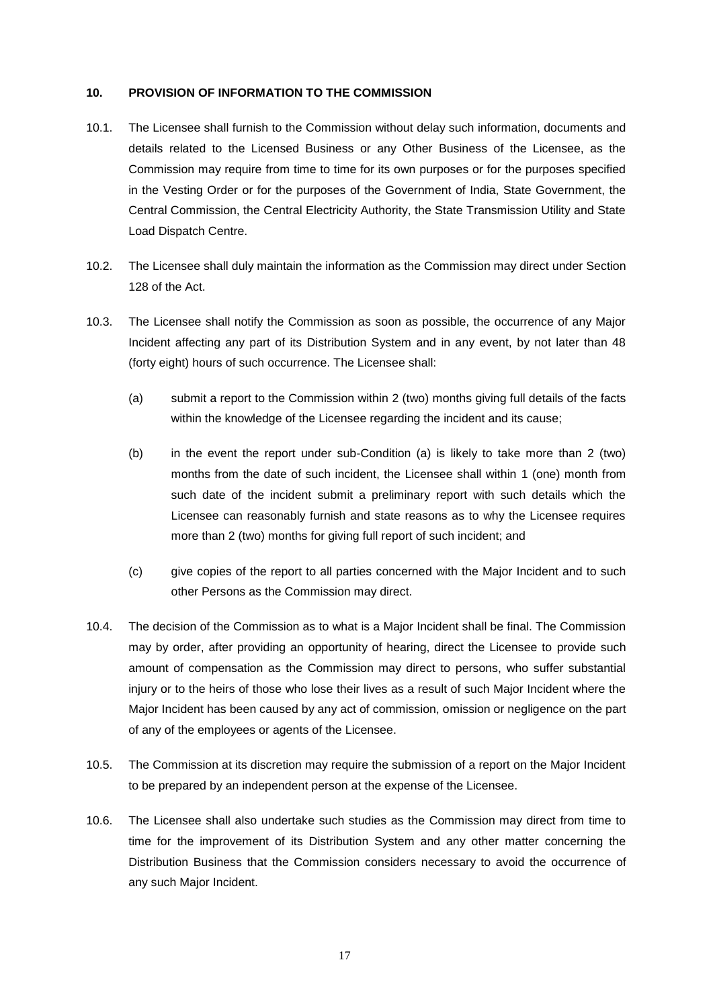### **10. PROVISION OF INFORMATION TO THE COMMISSION**

- 10.1. The Licensee shall furnish to the Commission without delay such information, documents and details related to the Licensed Business or any Other Business of the Licensee, as the Commission may require from time to time for its own purposes or for the purposes specified in the Vesting Order or for the purposes of the Government of India, State Government, the Central Commission, the Central Electricity Authority, the State Transmission Utility and State Load Dispatch Centre.
- 10.2. The Licensee shall duly maintain the information as the Commission may direct under Section 128 of the Act.
- <span id="page-16-1"></span><span id="page-16-0"></span>10.3. The Licensee shall notify the Commission as soon as possible, the occurrence of any Major Incident affecting any part of its Distribution System and in any event, by not later than 48 (forty eight) hours of such occurrence. The Licensee shall:
	- (a) submit a report to the Commission within 2 (two) months giving full details of the facts within the knowledge of the Licensee regarding the incident and its cause;
	- (b) in the event the report under sub-Condition [\(a\)](#page-16-0) is likely to take more than 2 (two) months from the date of such incident, the Licensee shall within 1 (one) month from such date of the incident submit a preliminary report with such details which the Licensee can reasonably furnish and state reasons as to why the Licensee requires more than 2 (two) months for giving full report of such incident; and
	- (c) give copies of the report to all parties concerned with the Major Incident and to such other Persons as the Commission may direct.
- 10.4. The decision of the Commission as to what is a Major Incident shall be final. The Commission may by order, after providing an opportunity of hearing, direct the Licensee to provide such amount of compensation as the Commission may direct to persons, who suffer substantial injury or to the heirs of those who lose their lives as a result of such Major Incident where the Major Incident has been caused by any act of commission, omission or negligence on the part of any of the employees or agents of the Licensee.
- 10.5. The Commission at its discretion may require the submission of a report on the Major Incident to be prepared by an independent person at the expense of the Licensee.
- 10.6. The Licensee shall also undertake such studies as the Commission may direct from time to time for the improvement of its Distribution System and any other matter concerning the Distribution Business that the Commission considers necessary to avoid the occurrence of any such Major Incident.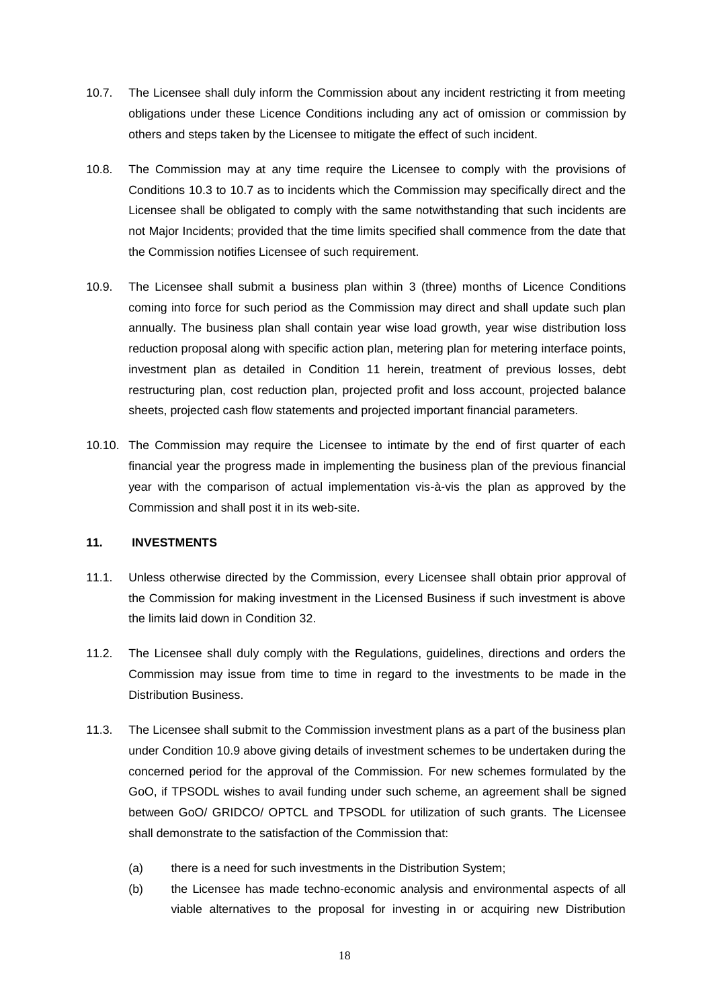- <span id="page-17-0"></span>10.7. The Licensee shall duly inform the Commission about any incident restricting it from meeting obligations under these Licence Conditions including any act of omission or commission by others and steps taken by the Licensee to mitigate the effect of such incident.
- 10.8. The Commission may at any time require the Licensee to comply with the provisions of Conditions [10.3](#page-16-1) to [10.7](#page-17-0) as to incidents which the Commission may specifically direct and the Licensee shall be obligated to comply with the same notwithstanding that such incidents are not Major Incidents; provided that the time limits specified shall commence from the date that the Commission notifies Licensee of such requirement.
- <span id="page-17-2"></span>10.9. The Licensee shall submit a business plan within 3 (three) months of Licence Conditions coming into force for such period as the Commission may direct and shall update such plan annually. The business plan shall contain year wise load growth, year wise distribution loss reduction proposal along with specific action plan, metering plan for metering interface points, investment plan as detailed in Condition [11](#page-17-1) herein, treatment of previous losses, debt restructuring plan, cost reduction plan, projected profit and loss account, projected balance sheets, projected cash flow statements and projected important financial parameters.
- 10.10. The Commission may require the Licensee to intimate by the end of first quarter of each financial year the progress made in implementing the business plan of the previous financial year with the comparison of actual implementation vis-à-vis the plan as approved by the Commission and shall post it in its web-site.

# <span id="page-17-1"></span>**11. INVESTMENTS**

- 11.1. Unless otherwise directed by the Commission, every Licensee shall obtain prior approval of the Commission for making investment in the Licensed Business if such investment is above the limits laid down in Condition [32.](#page-36-0)
- <span id="page-17-4"></span>11.2. The Licensee shall duly comply with the Regulations, guidelines, directions and orders the Commission may issue from time to time in regard to the investments to be made in the Distribution Business.
- <span id="page-17-3"></span>11.3. The Licensee shall submit to the Commission investment plans as a part of the business plan under Condition [10.9](#page-17-2) above giving details of investment schemes to be undertaken during the concerned period for the approval of the Commission. For new schemes formulated by the GoO, if TPSODL wishes to avail funding under such scheme, an agreement shall be signed between GoO/ GRIDCO/ OPTCL and TPSODL for utilization of such grants. The Licensee shall demonstrate to the satisfaction of the Commission that:
	- (a) there is a need for such investments in the Distribution System;
	- (b) the Licensee has made techno-economic analysis and environmental aspects of all viable alternatives to the proposal for investing in or acquiring new Distribution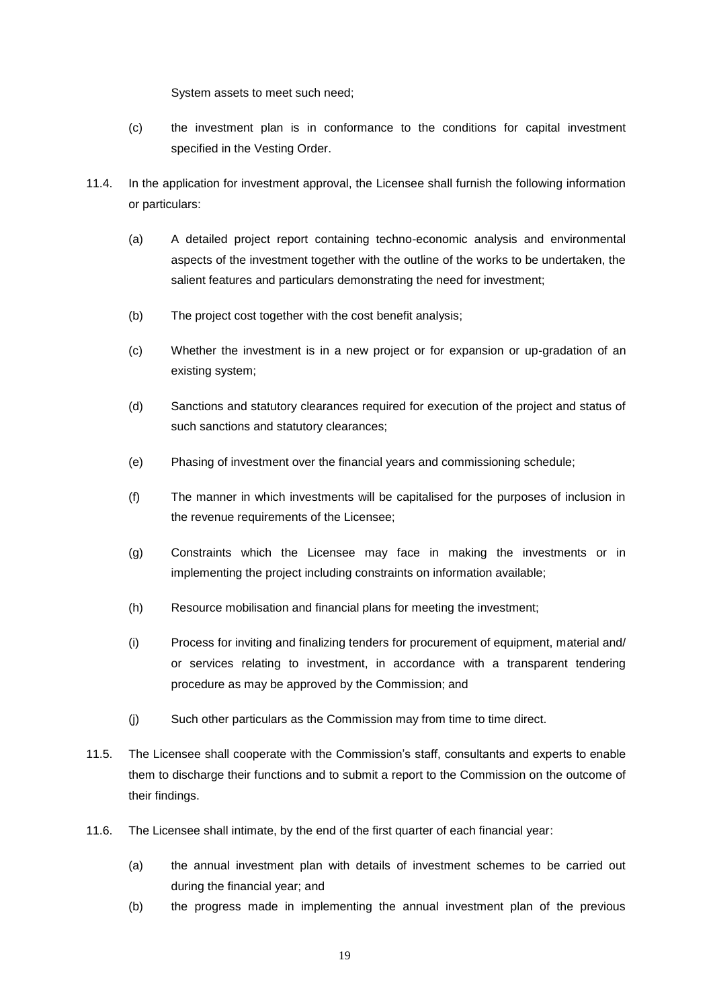System assets to meet such need;

- (c) the investment plan is in conformance to the conditions for capital investment specified in the Vesting Order.
- 11.4. In the application for investment approval, the Licensee shall furnish the following information or particulars:
	- (a) A detailed project report containing techno-economic analysis and environmental aspects of the investment together with the outline of the works to be undertaken, the salient features and particulars demonstrating the need for investment;
	- (b) The project cost together with the cost benefit analysis;
	- (c) Whether the investment is in a new project or for expansion or up-gradation of an existing system;
	- (d) Sanctions and statutory clearances required for execution of the project and status of such sanctions and statutory clearances;
	- (e) Phasing of investment over the financial years and commissioning schedule;
	- (f) The manner in which investments will be capitalised for the purposes of inclusion in the revenue requirements of the Licensee;
	- (g) Constraints which the Licensee may face in making the investments or in implementing the project including constraints on information available;
	- (h) Resource mobilisation and financial plans for meeting the investment;
	- (i) Process for inviting and finalizing tenders for procurement of equipment, material and/ or services relating to investment, in accordance with a transparent tendering procedure as may be approved by the Commission; and
	- (j) Such other particulars as the Commission may from time to time direct.
- 11.5. The Licensee shall cooperate with the Commission's staff, consultants and experts to enable them to discharge their functions and to submit a report to the Commission on the outcome of their findings.
- 11.6. The Licensee shall intimate, by the end of the first quarter of each financial year:
	- (a) the annual investment plan with details of investment schemes to be carried out during the financial year; and
	- (b) the progress made in implementing the annual investment plan of the previous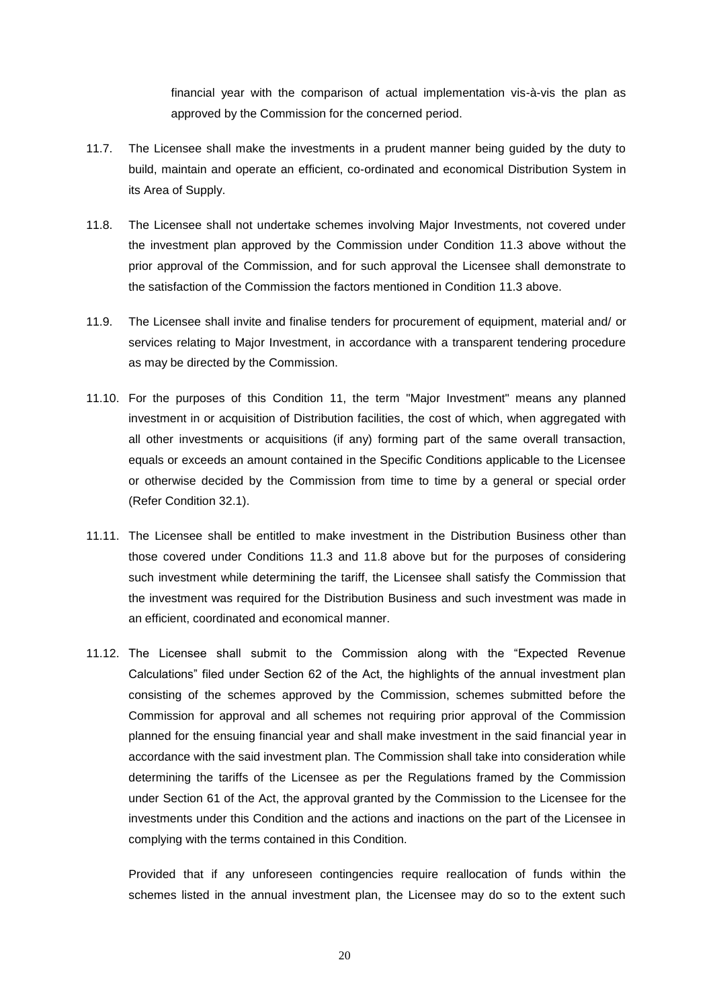financial year with the comparison of actual implementation vis-à-vis the plan as approved by the Commission for the concerned period.

- 11.7. The Licensee shall make the investments in a prudent manner being guided by the duty to build, maintain and operate an efficient, co-ordinated and economical Distribution System in its Area of Supply.
- <span id="page-19-0"></span>11.8. The Licensee shall not undertake schemes involving Major Investments, not covered under the investment plan approved by the Commission under Condition [11.3](#page-17-3) above without the prior approval of the Commission, and for such approval the Licensee shall demonstrate to the satisfaction of the Commission the factors mentioned in Condition [11.3](#page-17-3) above.
- 11.9. The Licensee shall invite and finalise tenders for procurement of equipment, material and/ or services relating to Major Investment, in accordance with a transparent tendering procedure as may be directed by the Commission.
- 11.10. For the purposes of this Condition [11,](#page-17-1) the term "Major Investment" means any planned investment in or acquisition of Distribution facilities, the cost of which, when aggregated with all other investments or acquisitions (if any) forming part of the same overall transaction, equals or exceeds an amount contained in the Specific Conditions applicable to the Licensee or otherwise decided by the Commission from time to time by a general or special order (Refer Condition [32.1\)](#page-36-1).
- 11.11. The Licensee shall be entitled to make investment in the Distribution Business other than those covered under Conditions [11.3](#page-17-3) and [11.8](#page-19-0) above but for the purposes of considering such investment while determining the tariff, the Licensee shall satisfy the Commission that the investment was required for the Distribution Business and such investment was made in an efficient, coordinated and economical manner.
- 11.12. The Licensee shall submit to the Commission along with the "Expected Revenue Calculations" filed under Section 62 of the Act, the highlights of the annual investment plan consisting of the schemes approved by the Commission, schemes submitted before the Commission for approval and all schemes not requiring prior approval of the Commission planned for the ensuing financial year and shall make investment in the said financial year in accordance with the said investment plan. The Commission shall take into consideration while determining the tariffs of the Licensee as per the Regulations framed by the Commission under Section 61 of the Act, the approval granted by the Commission to the Licensee for the investments under this Condition and the actions and inactions on the part of the Licensee in complying with the terms contained in this Condition.

Provided that if any unforeseen contingencies require reallocation of funds within the schemes listed in the annual investment plan, the Licensee may do so to the extent such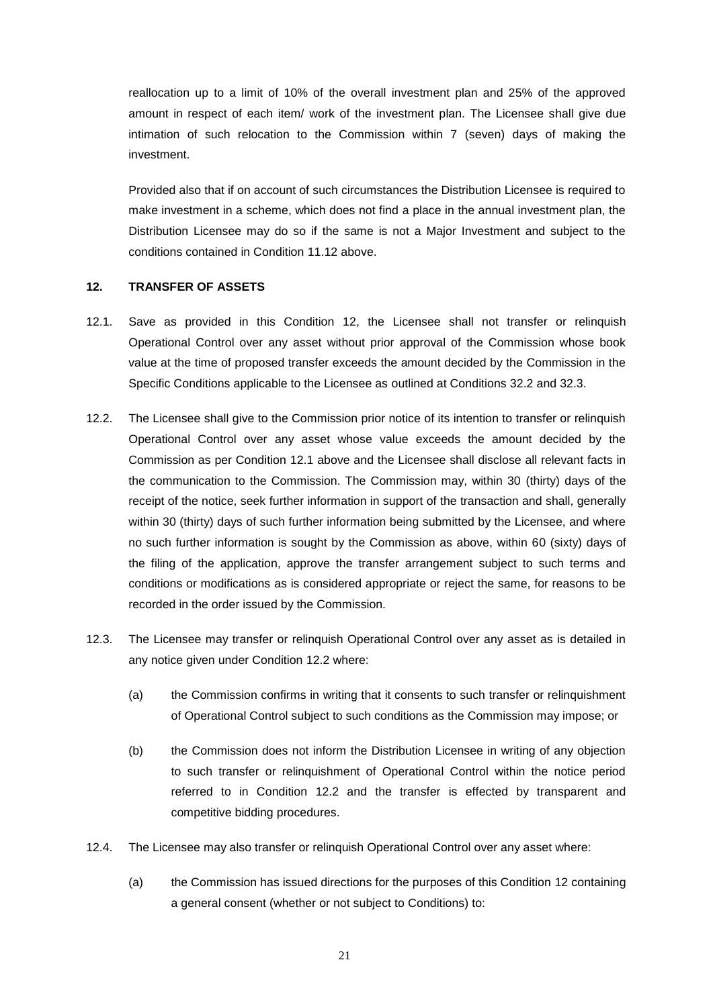reallocation up to a limit of 10% of the overall investment plan and 25% of the approved amount in respect of each item/ work of the investment plan. The Licensee shall give due intimation of such relocation to the Commission within 7 (seven) days of making the investment.

Provided also that if on account of such circumstances the Distribution Licensee is required to make investment in a scheme, which does not find a place in the annual investment plan, the Distribution Licensee may do so if the same is not a Major Investment and subject to the conditions contained in Condition 11.12 above.

#### <span id="page-20-2"></span>**12. TRANSFER OF ASSETS**

- <span id="page-20-0"></span>12.1. Save as provided in this Condition 12, the Licensee shall not transfer or relinquish Operational Control over any asset without prior approval of the Commission whose book value at the time of proposed transfer exceeds the amount decided by the Commission in the Specific Conditions applicable to the Licensee as outlined at Conditions 32.2 and 32.3.
- <span id="page-20-1"></span>12.2. The Licensee shall give to the Commission prior notice of its intention to transfer or relinquish Operational Control over any asset whose value exceeds the amount decided by the Commission as per Condition [12.1](#page-20-0) above and the Licensee shall disclose all relevant facts in the communication to the Commission. The Commission may, within 30 (thirty) days of the receipt of the notice, seek further information in support of the transaction and shall, generally within 30 (thirty) days of such further information being submitted by the Licensee, and where no such further information is sought by the Commission as above, within 60 (sixty) days of the filing of the application, approve the transfer arrangement subject to such terms and conditions or modifications as is considered appropriate or reject the same, for reasons to be recorded in the order issued by the Commission.
- 12.3. The Licensee may transfer or relinquish Operational Control over any asset as is detailed in any notice given under Condition [12.2](#page-20-1) where:
	- (a) the Commission confirms in writing that it consents to such transfer or relinquishment of Operational Control subject to such conditions as the Commission may impose; or
	- (b) the Commission does not inform the Distribution Licensee in writing of any objection to such transfer or relinquishment of Operational Control within the notice period referred to in Condition [12.2](#page-20-1) and the transfer is effected by transparent and competitive bidding procedures.
- 12.4. The Licensee may also transfer or relinquish Operational Control over any asset where:
	- (a) the Commission has issued directions for the purposes of this Condition [12](#page-20-2) containing a general consent (whether or not subject to Conditions) to: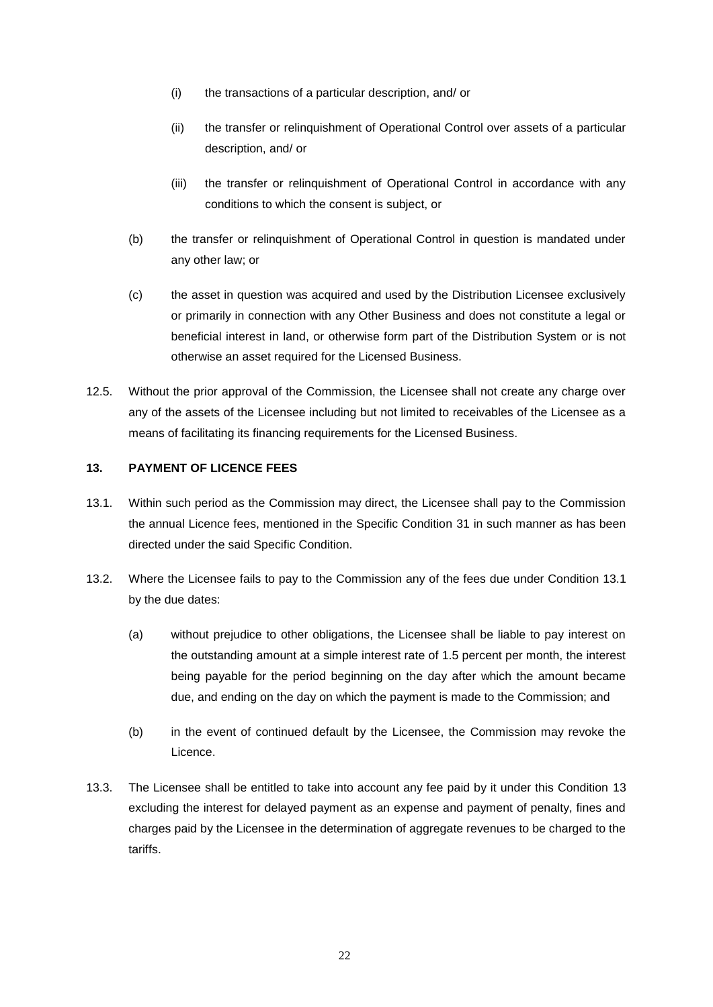- (i) the transactions of a particular description, and/ or
- (ii) the transfer or relinquishment of Operational Control over assets of a particular description, and/ or
- (iii) the transfer or relinquishment of Operational Control in accordance with any conditions to which the consent is subject, or
- (b) the transfer or relinquishment of Operational Control in question is mandated under any other law; or
- (c) the asset in question was acquired and used by the Distribution Licensee exclusively or primarily in connection with any Other Business and does not constitute a legal or beneficial interest in land, or otherwise form part of the Distribution System or is not otherwise an asset required for the Licensed Business.
- 12.5. Without the prior approval of the Commission, the Licensee shall not create any charge over any of the assets of the Licensee including but not limited to receivables of the Licensee as a means of facilitating its financing requirements for the Licensed Business.

# <span id="page-21-1"></span>**13. PAYMENT OF LICENCE FEES**

- <span id="page-21-0"></span>13.1. Within such period as the Commission may direct, the Licensee shall pay to the Commission the annual Licence fees, mentioned in the Specific Condition [31](#page-36-2) in such manner as has been directed under the said Specific Condition.
- <span id="page-21-2"></span>13.2. Where the Licensee fails to pay to the Commission any of the fees due under Condition [13.1](#page-21-0) by the due dates:
	- (a) without prejudice to other obligations, the Licensee shall be liable to pay interest on the outstanding amount at a simple interest rate of 1.5 percent per month, the interest being payable for the period beginning on the day after which the amount became due, and ending on the day on which the payment is made to the Commission; and
	- (b) in the event of continued default by the Licensee, the Commission may revoke the Licence.
- 13.3. The Licensee shall be entitled to take into account any fee paid by it under this Condition [13](#page-21-1) excluding the interest for delayed payment as an expense and payment of penalty, fines and charges paid by the Licensee in the determination of aggregate revenues to be charged to the tariffs.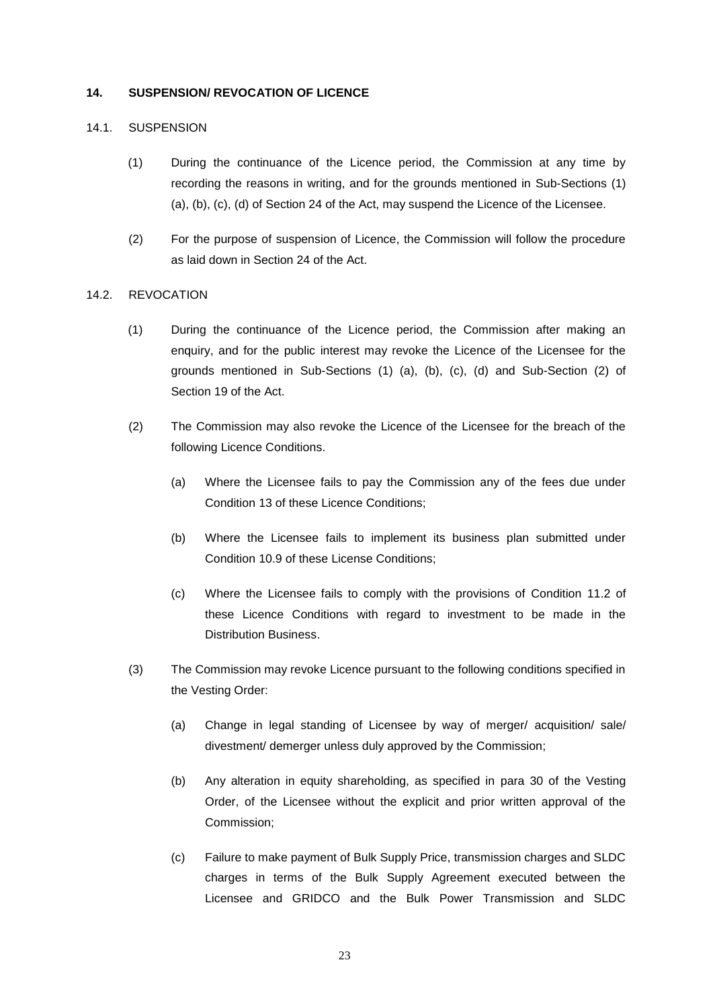### **14. SUSPENSION/ REVOCATION OF LICENCE**

# 14.1. SUSPENSION

- (1) During the continuance of the Licence period, the Commission at any time by recording the reasons in writing, and for the grounds mentioned in Sub-Sections (1) (a), (b), (c), (d) of Section 24 of the Act, may suspend the Licence of the Licensee.
- (2) For the purpose of suspension of Licence, the Commission will follow the procedure as laid down in Section 24 of the Act.

# 14.2. REVOCATION

- (1) During the continuance of the Licence period, the Commission after making an enquiry, and for the public interest may revoke the Licence of the Licensee for the grounds mentioned in Sub-Sections (1) (a), (b), (c), (d) and Sub-Section (2) of Section 19 of the Act.
- (2) The Commission may also revoke the Licence of the Licensee for the breach of the following Licence Conditions.
	- (a) Where the Licensee fails to pay the Commission any of the fees due under Condition [13](#page-21-1) of these Licence Conditions;
	- (b) Where the Licensee fails to implement its business plan submitted under Condition [10.9](#page-17-2) of these License Conditions;
	- (c) Where the Licensee fails to comply with the provisions of Condition [11.2](#page-17-4) of these Licence Conditions with regard to investment to be made in the Distribution Business.
- (3) The Commission may revoke Licence pursuant to the following conditions specified in the Vesting Order:
	- (a) Change in legal standing of Licensee by way of merger/ acquisition/ sale/ divestment/ demerger unless duly approved by the Commission;
	- (b) Any alteration in equity shareholding, as specified in para 30 of the Vesting Order, of the Licensee without the explicit and prior written approval of the Commission;
	- (c) Failure to make payment of Bulk Supply Price, transmission charges and SLDC charges in terms of the Bulk Supply Agreement executed between the Licensee and GRIDCO and the Bulk Power Transmission and SLDC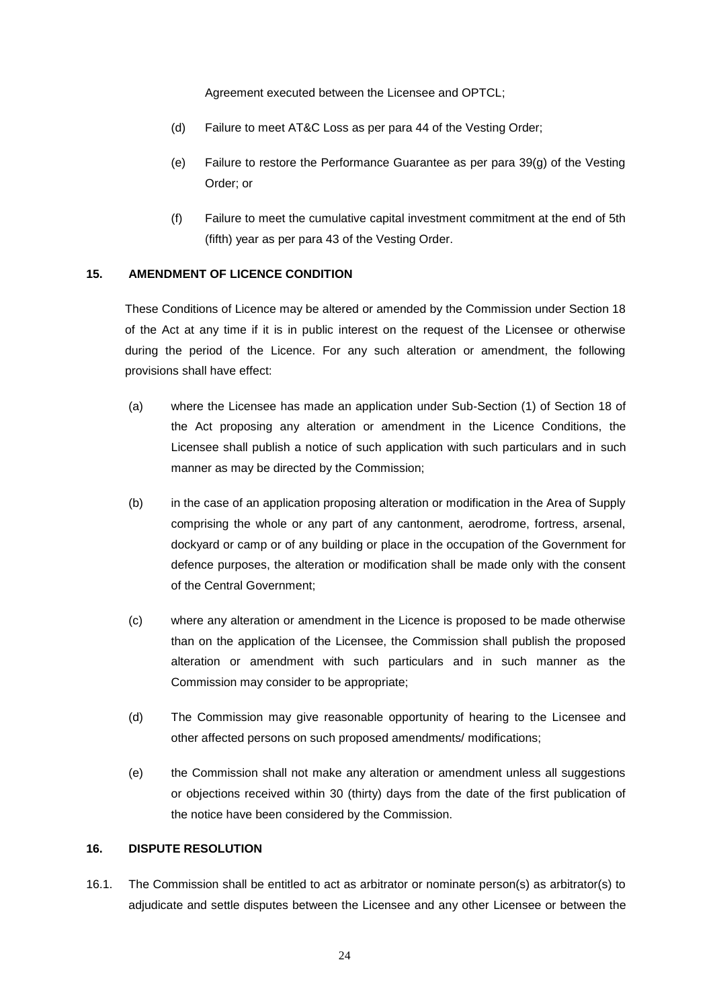Agreement executed between the Licensee and OPTCL;

- (d) Failure to meet AT&C Loss as per para 44 of the Vesting Order;
- (e) Failure to restore the Performance Guarantee as per para 39(g) of the Vesting Order; or
- (f) Failure to meet the cumulative capital investment commitment at the end of 5th (fifth) year as per para 43 of the Vesting Order.

# **15. AMENDMENT OF LICENCE CONDITION**

These Conditions of Licence may be altered or amended by the Commission under Section 18 of the Act at any time if it is in public interest on the request of the Licensee or otherwise during the period of the Licence. For any such alteration or amendment, the following provisions shall have effect:

- (a) where the Licensee has made an application under Sub-Section (1) of Section 18 of the Act proposing any alteration or amendment in the Licence Conditions, the Licensee shall publish a notice of such application with such particulars and in such manner as may be directed by the Commission;
- (b) in the case of an application proposing alteration or modification in the Area of Supply comprising the whole or any part of any cantonment, aerodrome, fortress, arsenal, dockyard or camp or of any building or place in the occupation of the Government for defence purposes, the alteration or modification shall be made only with the consent of the Central Government;
- (c) where any alteration or amendment in the Licence is proposed to be made otherwise than on the application of the Licensee, the Commission shall publish the proposed alteration or amendment with such particulars and in such manner as the Commission may consider to be appropriate;
- (d) The Commission may give reasonable opportunity of hearing to the Licensee and other affected persons on such proposed amendments/ modifications;
- (e) the Commission shall not make any alteration or amendment unless all suggestions or objections received within 30 (thirty) days from the date of the first publication of the notice have been considered by the Commission.

# **16. DISPUTE RESOLUTION**

16.1. The Commission shall be entitled to act as arbitrator or nominate person(s) as arbitrator(s) to adjudicate and settle disputes between the Licensee and any other Licensee or between the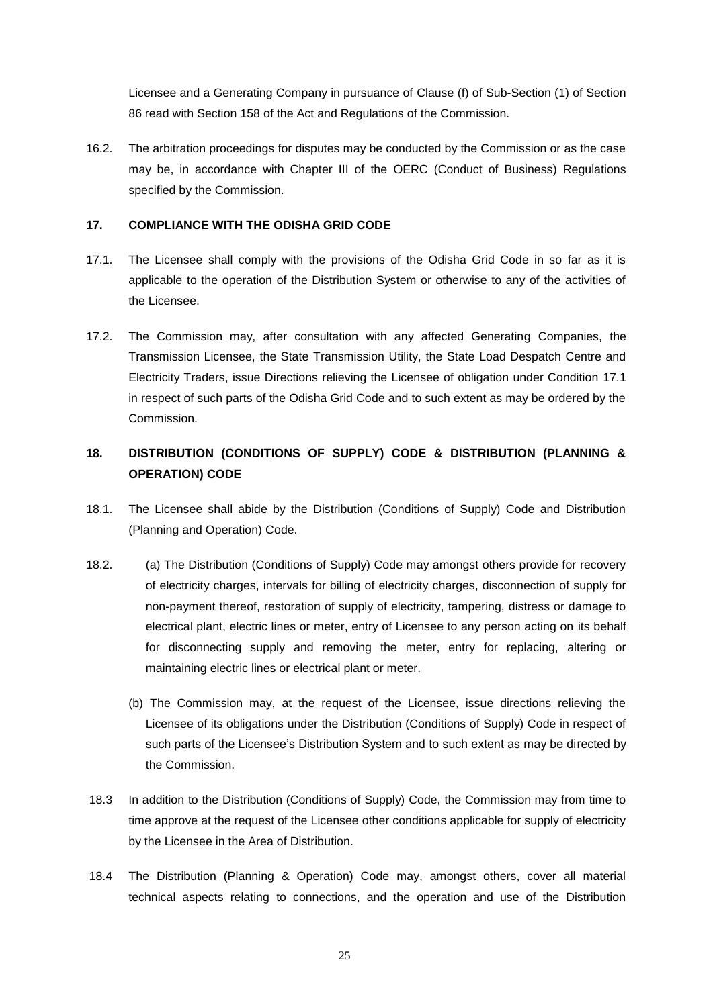Licensee and a Generating Company in pursuance of Clause (f) of Sub-Section (1) of Section 86 read with Section 158 of the Act and Regulations of the Commission.

16.2. The arbitration proceedings for disputes may be conducted by the Commission or as the case may be, in accordance with Chapter III of the OERC (Conduct of Business) Regulations specified by the Commission.

# **17. COMPLIANCE WITH THE ODISHA GRID CODE**

- <span id="page-24-1"></span>17.1. The Licensee shall comply with the provisions of the Odisha Grid Code in so far as it is applicable to the operation of the Distribution System or otherwise to any of the activities of the Licensee.
- 17.2. The Commission may, after consultation with any affected Generating Companies, the Transmission Licensee, the State Transmission Utility, the State Load Despatch Centre and Electricity Traders, issue Directions relieving the Licensee of obligation under Condition [17.1](#page-24-1) in respect of such parts of the Odisha Grid Code and to such extent as may be ordered by the Commission.

# <span id="page-24-0"></span>**18. DISTRIBUTION (CONDITIONS OF SUPPLY) CODE & DISTRIBUTION (PLANNING & OPERATION) CODE**

- 18.1. The Licensee shall abide by the Distribution (Conditions of Supply) Code and Distribution (Planning and Operation) Code.
- 18.2. (a) The Distribution (Conditions of Supply) Code may amongst others provide for recovery of electricity charges, intervals for billing of electricity charges, disconnection of supply for non-payment thereof, restoration of supply of electricity, tampering, distress or damage to electrical plant, electric lines or meter, entry of Licensee to any person acting on its behalf for disconnecting supply and removing the meter, entry for replacing, altering or maintaining electric lines or electrical plant or meter.
	- (b) The Commission may, at the request of the Licensee, issue directions relieving the Licensee of its obligations under the Distribution (Conditions of Supply) Code in respect of such parts of the Licensee's Distribution System and to such extent as may be directed by the Commission.
- 18.3 In addition to the Distribution (Conditions of Supply) Code, the Commission may from time to time approve at the request of the Licensee other conditions applicable for supply of electricity by the Licensee in the Area of Distribution.
- 18.4 The Distribution (Planning & Operation) Code may, amongst others, cover all material technical aspects relating to connections, and the operation and use of the Distribution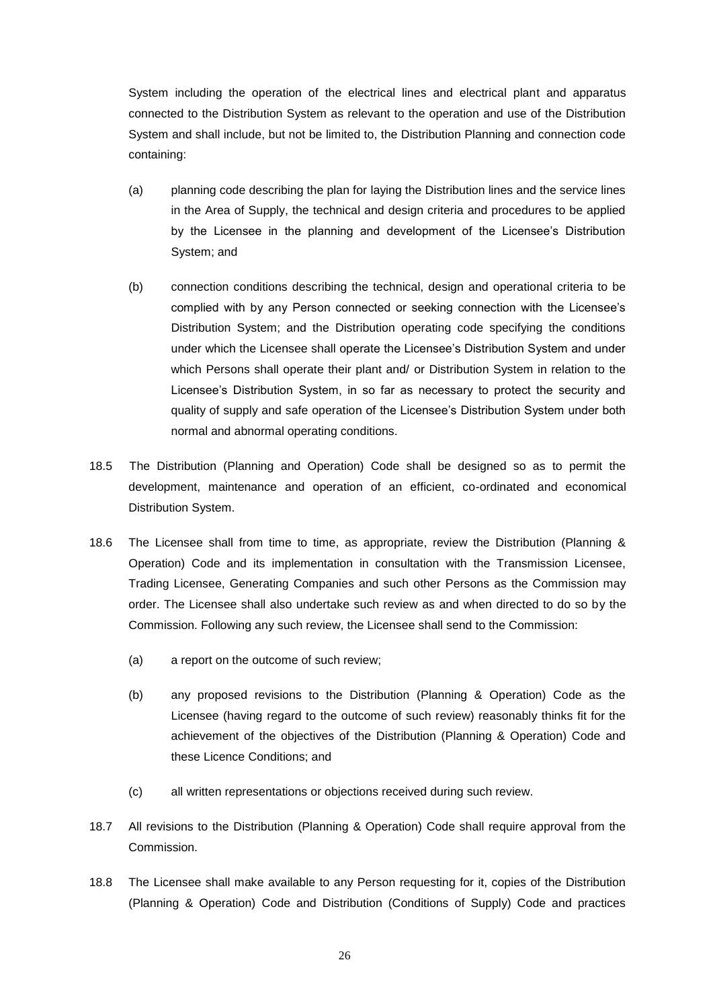System including the operation of the electrical lines and electrical plant and apparatus connected to the Distribution System as relevant to the operation and use of the Distribution System and shall include, but not be limited to, the Distribution Planning and connection code containing:

- (a) planning code describing the plan for laying the Distribution lines and the service lines in the Area of Supply, the technical and design criteria and procedures to be applied by the Licensee in the planning and development of the Licensee's Distribution System; and
- (b) connection conditions describing the technical, design and operational criteria to be complied with by any Person connected or seeking connection with the Licensee's Distribution System; and the Distribution operating code specifying the conditions under which the Licensee shall operate the Licensee's Distribution System and under which Persons shall operate their plant and/ or Distribution System in relation to the Licensee's Distribution System, in so far as necessary to protect the security and quality of supply and safe operation of the Licensee's Distribution System under both normal and abnormal operating conditions.
- 18.5 The Distribution (Planning and Operation) Code shall be designed so as to permit the development, maintenance and operation of an efficient, co-ordinated and economical Distribution System.
- 18.6 The Licensee shall from time to time, as appropriate, review the Distribution (Planning & Operation) Code and its implementation in consultation with the Transmission Licensee, Trading Licensee, Generating Companies and such other Persons as the Commission may order. The Licensee shall also undertake such review as and when directed to do so by the Commission. Following any such review, the Licensee shall send to the Commission:
	- (a) a report on the outcome of such review;
	- (b) any proposed revisions to the Distribution (Planning & Operation) Code as the Licensee (having regard to the outcome of such review) reasonably thinks fit for the achievement of the objectives of the Distribution (Planning & Operation) Code and these Licence Conditions; and
	- (c) all written representations or objections received during such review.
- 18.7 All revisions to the Distribution (Planning & Operation) Code shall require approval from the Commission.
- 18.8 The Licensee shall make available to any Person requesting for it, copies of the Distribution (Planning & Operation) Code and Distribution (Conditions of Supply) Code and practices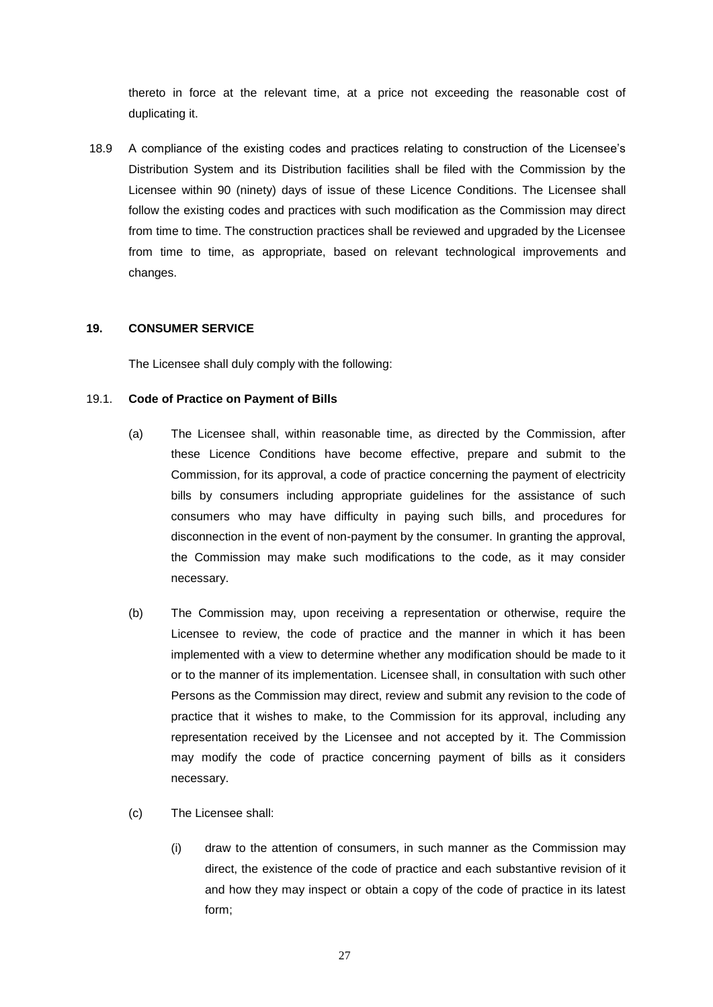thereto in force at the relevant time, at a price not exceeding the reasonable cost of duplicating it.

18.9 A compliance of the existing codes and practices relating to construction of the Licensee's Distribution System and its Distribution facilities shall be filed with the Commission by the Licensee within 90 (ninety) days of issue of these Licence Conditions. The Licensee shall follow the existing codes and practices with such modification as the Commission may direct from time to time. The construction practices shall be reviewed and upgraded by the Licensee from time to time, as appropriate, based on relevant technological improvements and changes.

# **19. CONSUMER SERVICE**

The Licensee shall duly comply with the following:

#### 19.1. **Code of Practice on Payment of Bills**

- (a) The Licensee shall, within reasonable time, as directed by the Commission, after these Licence Conditions have become effective, prepare and submit to the Commission, for its approval, a code of practice concerning the payment of electricity bills by consumers including appropriate guidelines for the assistance of such consumers who may have difficulty in paying such bills, and procedures for disconnection in the event of non-payment by the consumer. In granting the approval, the Commission may make such modifications to the code, as it may consider necessary.
- (b) The Commission may, upon receiving a representation or otherwise, require the Licensee to review, the code of practice and the manner in which it has been implemented with a view to determine whether any modification should be made to it or to the manner of its implementation. Licensee shall, in consultation with such other Persons as the Commission may direct, review and submit any revision to the code of practice that it wishes to make, to the Commission for its approval, including any representation received by the Licensee and not accepted by it. The Commission may modify the code of practice concerning payment of bills as it considers necessary.
- (c) The Licensee shall:
	- (i) draw to the attention of consumers, in such manner as the Commission may direct, the existence of the code of practice and each substantive revision of it and how they may inspect or obtain a copy of the code of practice in its latest form;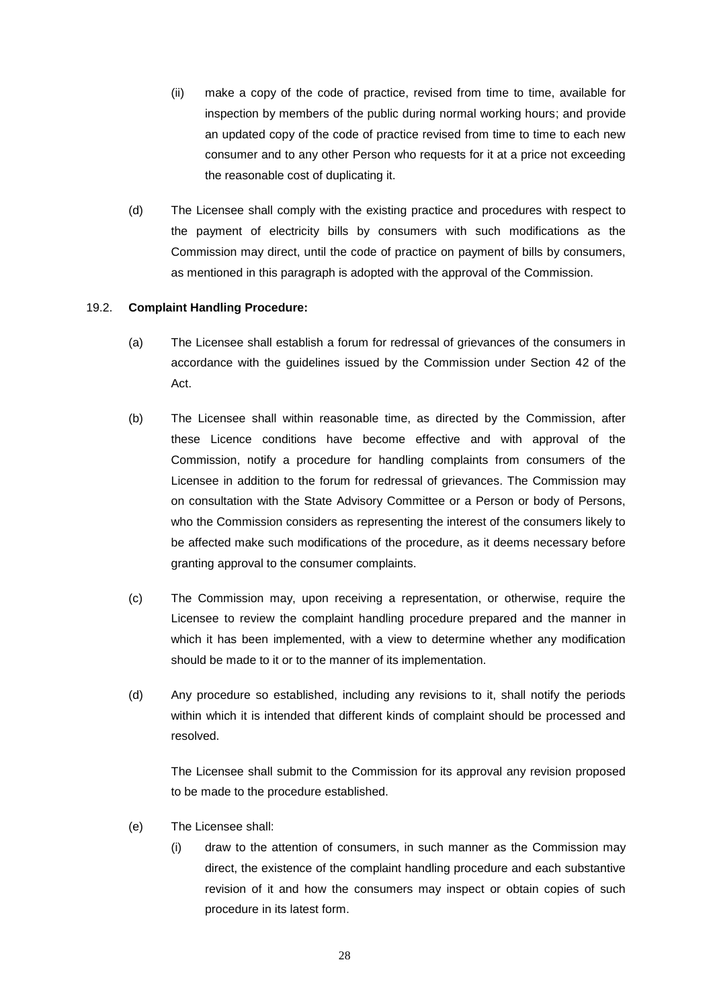- (ii) make a copy of the code of practice, revised from time to time, available for inspection by members of the public during normal working hours; and provide an updated copy of the code of practice revised from time to time to each new consumer and to any other Person who requests for it at a price not exceeding the reasonable cost of duplicating it.
- (d) The Licensee shall comply with the existing practice and procedures with respect to the payment of electricity bills by consumers with such modifications as the Commission may direct, until the code of practice on payment of bills by consumers, as mentioned in this paragraph is adopted with the approval of the Commission.

#### 19.2. **Complaint Handling Procedure:**

- (a) The Licensee shall establish a forum for redressal of grievances of the consumers in accordance with the guidelines issued by the Commission under Section 42 of the Act.
- (b) The Licensee shall within reasonable time, as directed by the Commission, after these Licence conditions have become effective and with approval of the Commission, notify a procedure for handling complaints from consumers of the Licensee in addition to the forum for redressal of grievances. The Commission may on consultation with the State Advisory Committee or a Person or body of Persons, who the Commission considers as representing the interest of the consumers likely to be affected make such modifications of the procedure, as it deems necessary before granting approval to the consumer complaints.
- (c) The Commission may, upon receiving a representation, or otherwise, require the Licensee to review the complaint handling procedure prepared and the manner in which it has been implemented, with a view to determine whether any modification should be made to it or to the manner of its implementation.
- (d) Any procedure so established, including any revisions to it, shall notify the periods within which it is intended that different kinds of complaint should be processed and resolved.

The Licensee shall submit to the Commission for its approval any revision proposed to be made to the procedure established.

- (e) The Licensee shall:
	- (i) draw to the attention of consumers, in such manner as the Commission may direct, the existence of the complaint handling procedure and each substantive revision of it and how the consumers may inspect or obtain copies of such procedure in its latest form.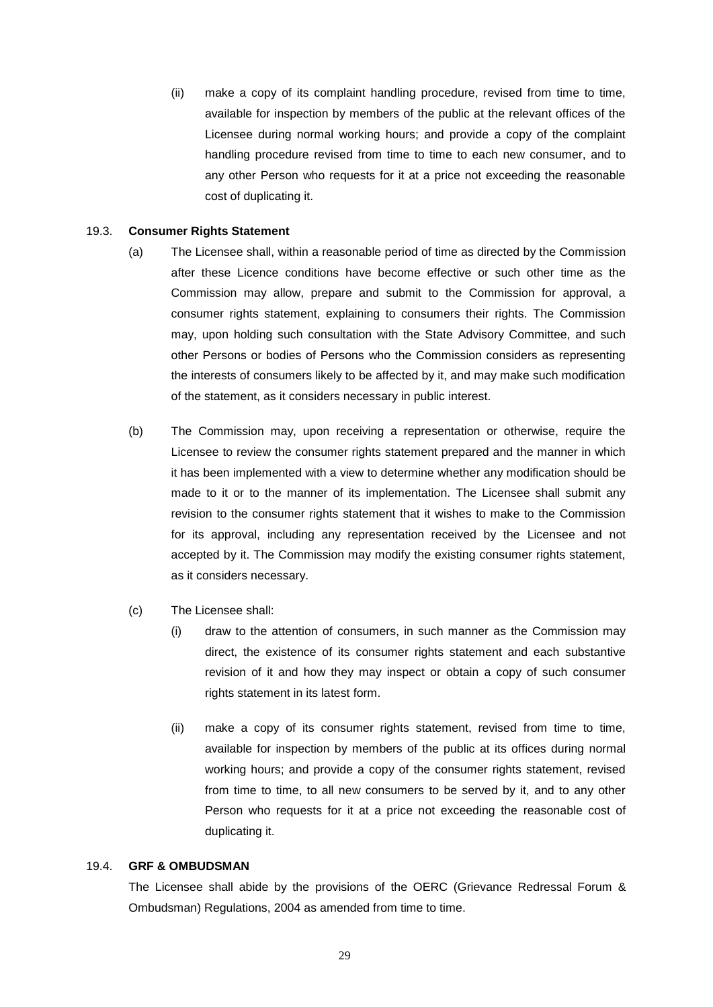(ii) make a copy of its complaint handling procedure, revised from time to time, available for inspection by members of the public at the relevant offices of the Licensee during normal working hours; and provide a copy of the complaint handling procedure revised from time to time to each new consumer, and to any other Person who requests for it at a price not exceeding the reasonable cost of duplicating it.

#### 19.3. **Consumer Rights Statement**

- (a) The Licensee shall, within a reasonable period of time as directed by the Commission after these Licence conditions have become effective or such other time as the Commission may allow, prepare and submit to the Commission for approval, a consumer rights statement, explaining to consumers their rights. The Commission may, upon holding such consultation with the State Advisory Committee, and such other Persons or bodies of Persons who the Commission considers as representing the interests of consumers likely to be affected by it, and may make such modification of the statement, as it considers necessary in public interest.
- (b) The Commission may, upon receiving a representation or otherwise, require the Licensee to review the consumer rights statement prepared and the manner in which it has been implemented with a view to determine whether any modification should be made to it or to the manner of its implementation. The Licensee shall submit any revision to the consumer rights statement that it wishes to make to the Commission for its approval, including any representation received by the Licensee and not accepted by it. The Commission may modify the existing consumer rights statement, as it considers necessary.
- (c) The Licensee shall:
	- (i) draw to the attention of consumers, in such manner as the Commission may direct, the existence of its consumer rights statement and each substantive revision of it and how they may inspect or obtain a copy of such consumer rights statement in its latest form.
	- (ii) make a copy of its consumer rights statement, revised from time to time, available for inspection by members of the public at its offices during normal working hours; and provide a copy of the consumer rights statement, revised from time to time, to all new consumers to be served by it, and to any other Person who requests for it at a price not exceeding the reasonable cost of duplicating it.

#### 19.4. **GRF & OMBUDSMAN**

The Licensee shall abide by the provisions of the OERC (Grievance Redressal Forum & Ombudsman) Regulations, 2004 as amended from time to time.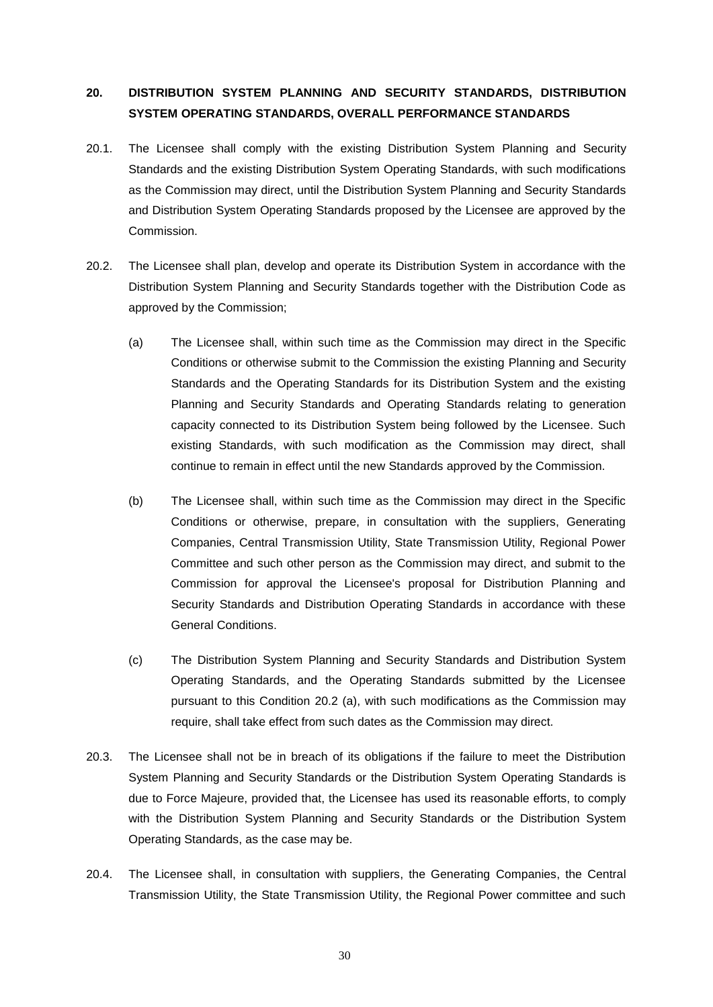# **20. DISTRIBUTION SYSTEM PLANNING AND SECURITY STANDARDS, DISTRIBUTION SYSTEM OPERATING STANDARDS, OVERALL PERFORMANCE STANDARDS**

- <span id="page-29-2"></span>20.1. The Licensee shall comply with the existing Distribution System Planning and Security Standards and the existing Distribution System Operating Standards, with such modifications as the Commission may direct, until the Distribution System Planning and Security Standards and Distribution System Operating Standards proposed by the Licensee are approved by the Commission.
- <span id="page-29-1"></span><span id="page-29-0"></span>20.2. The Licensee shall plan, develop and operate its Distribution System in accordance with the Distribution System Planning and Security Standards together with the Distribution Code as approved by the Commission;
	- (a) The Licensee shall, within such time as the Commission may direct in the Specific Conditions or otherwise submit to the Commission the existing Planning and Security Standards and the Operating Standards for its Distribution System and the existing Planning and Security Standards and Operating Standards relating to generation capacity connected to its Distribution System being followed by the Licensee. Such existing Standards, with such modification as the Commission may direct, shall continue to remain in effect until the new Standards approved by the Commission.
	- (b) The Licensee shall, within such time as the Commission may direct in the Specific Conditions or otherwise, prepare, in consultation with the suppliers, Generating Companies, Central Transmission Utility, State Transmission Utility, Regional Power Committee and such other person as the Commission may direct, and submit to the Commission for approval the Licensee's proposal for Distribution Planning and Security Standards and Distribution Operating Standards in accordance with these General Conditions.
	- (c) The Distribution System Planning and Security Standards and Distribution System Operating Standards, and the Operating Standards submitted by the Licensee pursuant to this Condition [20.2](#page-29-0) [\(a\),](#page-29-1) with such modifications as the Commission may require, shall take effect from such dates as the Commission may direct.
- 20.3. The Licensee shall not be in breach of its obligations if the failure to meet the Distribution System Planning and Security Standards or the Distribution System Operating Standards is due to Force Majeure, provided that, the Licensee has used its reasonable efforts, to comply with the Distribution System Planning and Security Standards or the Distribution System Operating Standards, as the case may be.
- 20.4. The Licensee shall, in consultation with suppliers, the Generating Companies, the Central Transmission Utility, the State Transmission Utility, the Regional Power committee and such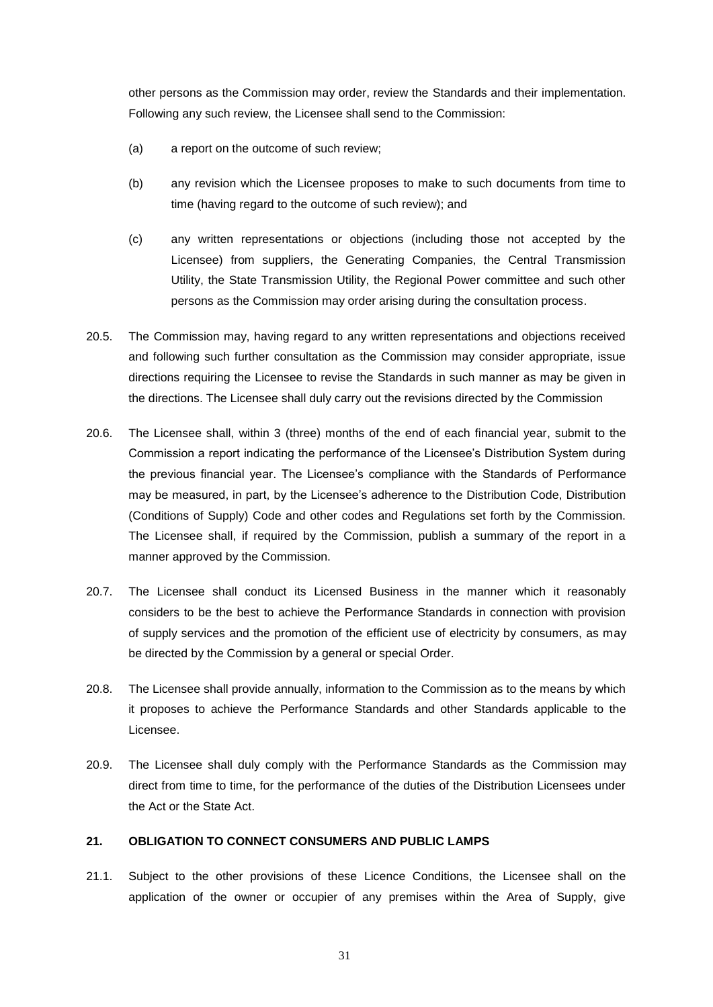other persons as the Commission may order, review the Standards and their implementation. Following any such review, the Licensee shall send to the Commission:

- (a) a report on the outcome of such review;
- (b) any revision which the Licensee proposes to make to such documents from time to time (having regard to the outcome of such review); and
- (c) any written representations or objections (including those not accepted by the Licensee) from suppliers, the Generating Companies, the Central Transmission Utility, the State Transmission Utility, the Regional Power committee and such other persons as the Commission may order arising during the consultation process.
- 20.5. The Commission may, having regard to any written representations and objections received and following such further consultation as the Commission may consider appropriate, issue directions requiring the Licensee to revise the Standards in such manner as may be given in the directions. The Licensee shall duly carry out the revisions directed by the Commission
- 20.6. The Licensee shall, within 3 (three) months of the end of each financial year, submit to the Commission a report indicating the performance of the Licensee's Distribution System during the previous financial year. The Licensee's compliance with the Standards of Performance may be measured, in part, by the Licensee's adherence to the Distribution Code, Distribution (Conditions of Supply) Code and other codes and Regulations set forth by the Commission. The Licensee shall, if required by the Commission, publish a summary of the report in a manner approved by the Commission.
- 20.7. The Licensee shall conduct its Licensed Business in the manner which it reasonably considers to be the best to achieve the Performance Standards in connection with provision of supply services and the promotion of the efficient use of electricity by consumers, as may be directed by the Commission by a general or special Order.
- 20.8. The Licensee shall provide annually, information to the Commission as to the means by which it proposes to achieve the Performance Standards and other Standards applicable to the Licensee.
- 20.9. The Licensee shall duly comply with the Performance Standards as the Commission may direct from time to time, for the performance of the duties of the Distribution Licensees under the Act or the State Act.

# **21. OBLIGATION TO CONNECT CONSUMERS AND PUBLIC LAMPS**

21.1. Subject to the other provisions of these Licence Conditions, the Licensee shall on the application of the owner or occupier of any premises within the Area of Supply, give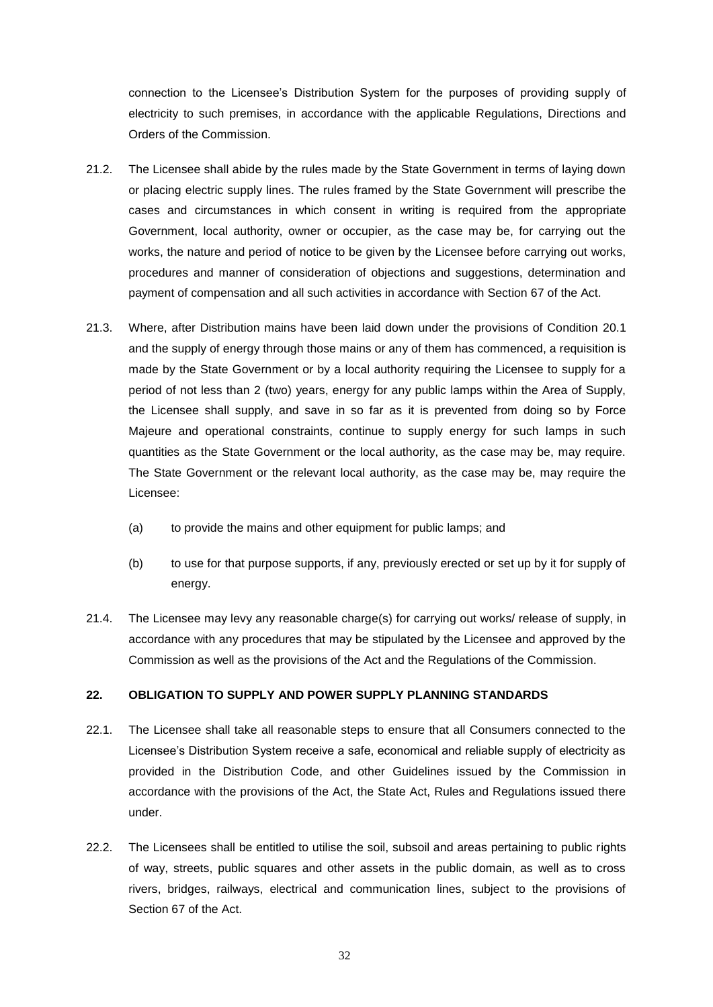connection to the Licensee's Distribution System for the purposes of providing supply of electricity to such premises, in accordance with the applicable Regulations, Directions and Orders of the Commission.

- 21.2. The Licensee shall abide by the rules made by the State Government in terms of laying down or placing electric supply lines. The rules framed by the State Government will prescribe the cases and circumstances in which consent in writing is required from the appropriate Government, local authority, owner or occupier, as the case may be, for carrying out the works, the nature and period of notice to be given by the Licensee before carrying out works, procedures and manner of consideration of objections and suggestions, determination and payment of compensation and all such activities in accordance with Section 67 of the Act.
- 21.3. Where, after Distribution mains have been laid down under the provisions of Condition [20.1](#page-29-2) and the supply of energy through those mains or any of them has commenced, a requisition is made by the State Government or by a local authority requiring the Licensee to supply for a period of not less than 2 (two) years, energy for any public lamps within the Area of Supply, the Licensee shall supply, and save in so far as it is prevented from doing so by Force Majeure and operational constraints, continue to supply energy for such lamps in such quantities as the State Government or the local authority, as the case may be, may require. The State Government or the relevant local authority, as the case may be, may require the Licensee:
	- (a) to provide the mains and other equipment for public lamps; and
	- (b) to use for that purpose supports, if any, previously erected or set up by it for supply of energy.
- 21.4. The Licensee may levy any reasonable charge(s) for carrying out works/ release of supply, in accordance with any procedures that may be stipulated by the Licensee and approved by the Commission as well as the provisions of the Act and the Regulations of the Commission.

# **22. OBLIGATION TO SUPPLY AND POWER SUPPLY PLANNING STANDARDS**

- 22.1. The Licensee shall take all reasonable steps to ensure that all Consumers connected to the Licensee's Distribution System receive a safe, economical and reliable supply of electricity as provided in the Distribution Code, and other Guidelines issued by the Commission in accordance with the provisions of the Act, the State Act, Rules and Regulations issued there under.
- 22.2. The Licensees shall be entitled to utilise the soil, subsoil and areas pertaining to public rights of way, streets, public squares and other assets in the public domain, as well as to cross rivers, bridges, railways, electrical and communication lines, subject to the provisions of Section 67 of the Act.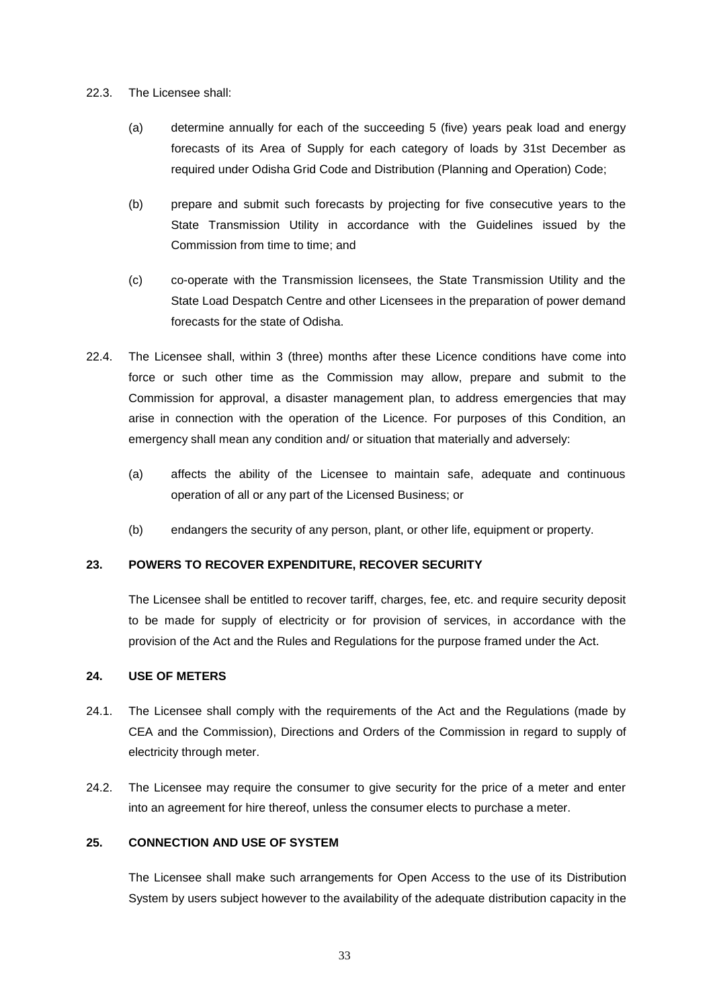#### 22.3. The Licensee shall:

- (a) determine annually for each of the succeeding 5 (five) years peak load and energy forecasts of its Area of Supply for each category of loads by 31st December as required under Odisha Grid Code and Distribution (Planning and Operation) Code;
- (b) prepare and submit such forecasts by projecting for five consecutive years to the State Transmission Utility in accordance with the Guidelines issued by the Commission from time to time; and
- (c) co-operate with the Transmission licensees, the State Transmission Utility and the State Load Despatch Centre and other Licensees in the preparation of power demand forecasts for the state of Odisha.
- 22.4. The Licensee shall, within 3 (three) months after these Licence conditions have come into force or such other time as the Commission may allow, prepare and submit to the Commission for approval, a disaster management plan, to address emergencies that may arise in connection with the operation of the Licence. For purposes of this Condition, an emergency shall mean any condition and/ or situation that materially and adversely:
	- (a) affects the ability of the Licensee to maintain safe, adequate and continuous operation of all or any part of the Licensed Business; or
	- (b) endangers the security of any person, plant, or other life, equipment or property.

# **23. POWERS TO RECOVER EXPENDITURE, RECOVER SECURITY**

The Licensee shall be entitled to recover tariff, charges, fee, etc. and require security deposit to be made for supply of electricity or for provision of services, in accordance with the provision of the Act and the Rules and Regulations for the purpose framed under the Act.

# **24. USE OF METERS**

- 24.1. The Licensee shall comply with the requirements of the Act and the Regulations (made by CEA and the Commission), Directions and Orders of the Commission in regard to supply of electricity through meter.
- 24.2. The Licensee may require the consumer to give security for the price of a meter and enter into an agreement for hire thereof, unless the consumer elects to purchase a meter.

# **25. CONNECTION AND USE OF SYSTEM**

The Licensee shall make such arrangements for Open Access to the use of its Distribution System by users subject however to the availability of the adequate distribution capacity in the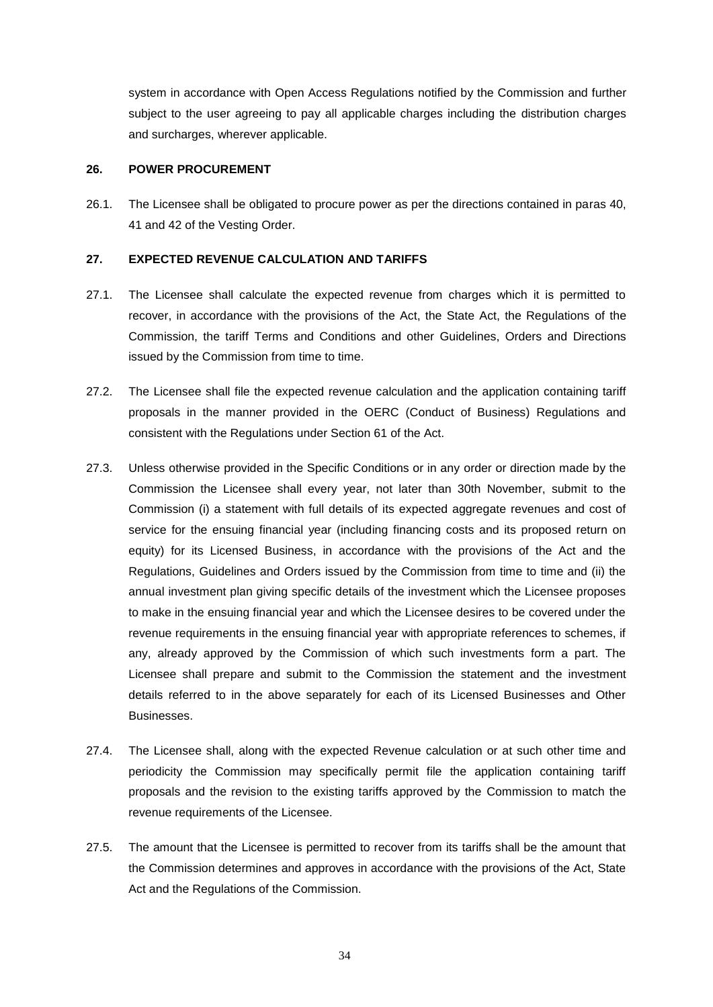system in accordance with Open Access Regulations notified by the Commission and further subject to the user agreeing to pay all applicable charges including the distribution charges and surcharges, wherever applicable.

#### **26. POWER PROCUREMENT**

26.1. The Licensee shall be obligated to procure power as per the directions contained in paras 40, 41 and 42 of the Vesting Order.

#### **27. EXPECTED REVENUE CALCULATION AND TARIFFS**

- 27.1. The Licensee shall calculate the expected revenue from charges which it is permitted to recover, in accordance with the provisions of the Act, the State Act, the Regulations of the Commission, the tariff Terms and Conditions and other Guidelines, Orders and Directions issued by the Commission from time to time.
- 27.2. The Licensee shall file the expected revenue calculation and the application containing tariff proposals in the manner provided in the OERC (Conduct of Business) Regulations and consistent with the Regulations under Section 61 of the Act.
- 27.3. Unless otherwise provided in the Specific Conditions or in any order or direction made by the Commission the Licensee shall every year, not later than 30th November, submit to the Commission (i) a statement with full details of its expected aggregate revenues and cost of service for the ensuing financial year (including financing costs and its proposed return on equity) for its Licensed Business, in accordance with the provisions of the Act and the Regulations, Guidelines and Orders issued by the Commission from time to time and (ii) the annual investment plan giving specific details of the investment which the Licensee proposes to make in the ensuing financial year and which the Licensee desires to be covered under the revenue requirements in the ensuing financial year with appropriate references to schemes, if any, already approved by the Commission of which such investments form a part. The Licensee shall prepare and submit to the Commission the statement and the investment details referred to in the above separately for each of its Licensed Businesses and Other Businesses.
- 27.4. The Licensee shall, along with the expected Revenue calculation or at such other time and periodicity the Commission may specifically permit file the application containing tariff proposals and the revision to the existing tariffs approved by the Commission to match the revenue requirements of the Licensee.
- 27.5. The amount that the Licensee is permitted to recover from its tariffs shall be the amount that the Commission determines and approves in accordance with the provisions of the Act, State Act and the Regulations of the Commission.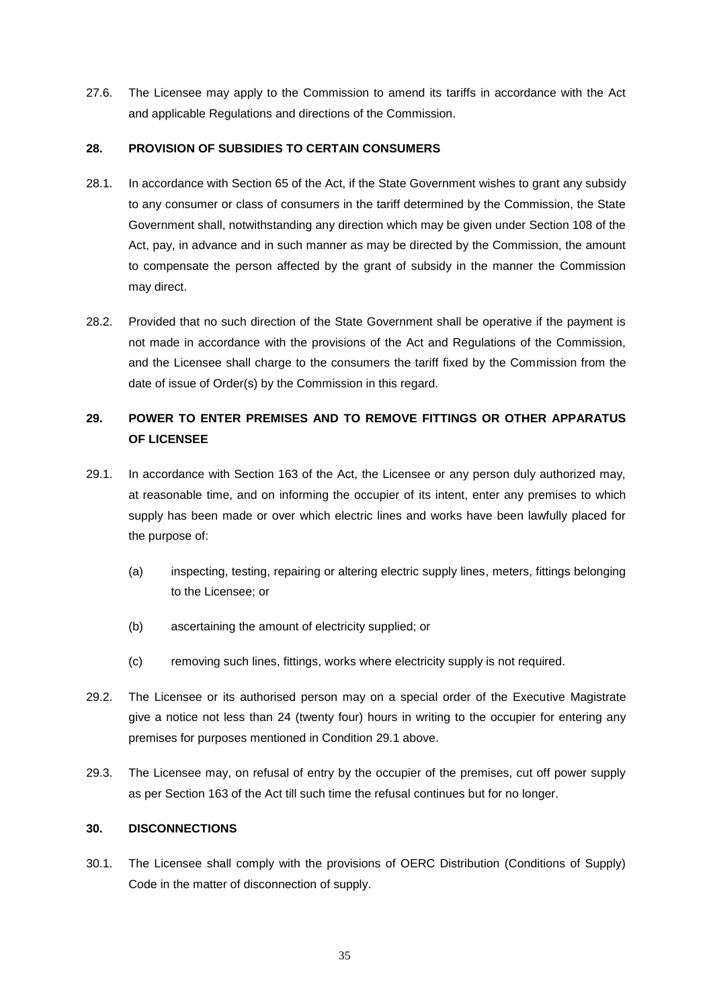27.6. The Licensee may apply to the Commission to amend its tariffs in accordance with the Act and applicable Regulations and directions of the Commission.

# **28. PROVISION OF SUBSIDIES TO CERTAIN CONSUMERS**

- 28.1. In accordance with Section 65 of the Act, if the State Government wishes to grant any subsidy to any consumer or class of consumers in the tariff determined by the Commission, the State Government shall, notwithstanding any direction which may be given under Section 108 of the Act, pay, in advance and in such manner as may be directed by the Commission, the amount to compensate the person affected by the grant of subsidy in the manner the Commission may direct.
- 28.2. Provided that no such direction of the State Government shall be operative if the payment is not made in accordance with the provisions of the Act and Regulations of the Commission, and the Licensee shall charge to the consumers the tariff fixed by the Commission from the date of issue of Order(s) by the Commission in this regard.

# **29. POWER TO ENTER PREMISES AND TO REMOVE FITTINGS OR OTHER APPARATUS OF LICENSEE**

- <span id="page-34-0"></span>29.1. In accordance with Section 163 of the Act, the Licensee or any person duly authorized may, at reasonable time, and on informing the occupier of its intent, enter any premises to which supply has been made or over which electric lines and works have been lawfully placed for the purpose of:
	- (a) inspecting, testing, repairing or altering electric supply lines, meters, fittings belonging to the Licensee; or
	- (b) ascertaining the amount of electricity supplied; or
	- (c) removing such lines, fittings, works where electricity supply is not required.
- 29.2. The Licensee or its authorised person may on a special order of the Executive Magistrate give a notice not less than 24 (twenty four) hours in writing to the occupier for entering any premises for purposes mentioned in Condition [29.1](#page-34-0) above.
- 29.3. The Licensee may, on refusal of entry by the occupier of the premises, cut off power supply as per Section 163 of the Act till such time the refusal continues but for no longer.

# **30. DISCONNECTIONS**

30.1. The Licensee shall comply with the provisions of OERC Distribution (Conditions of Supply) Code in the matter of disconnection of supply.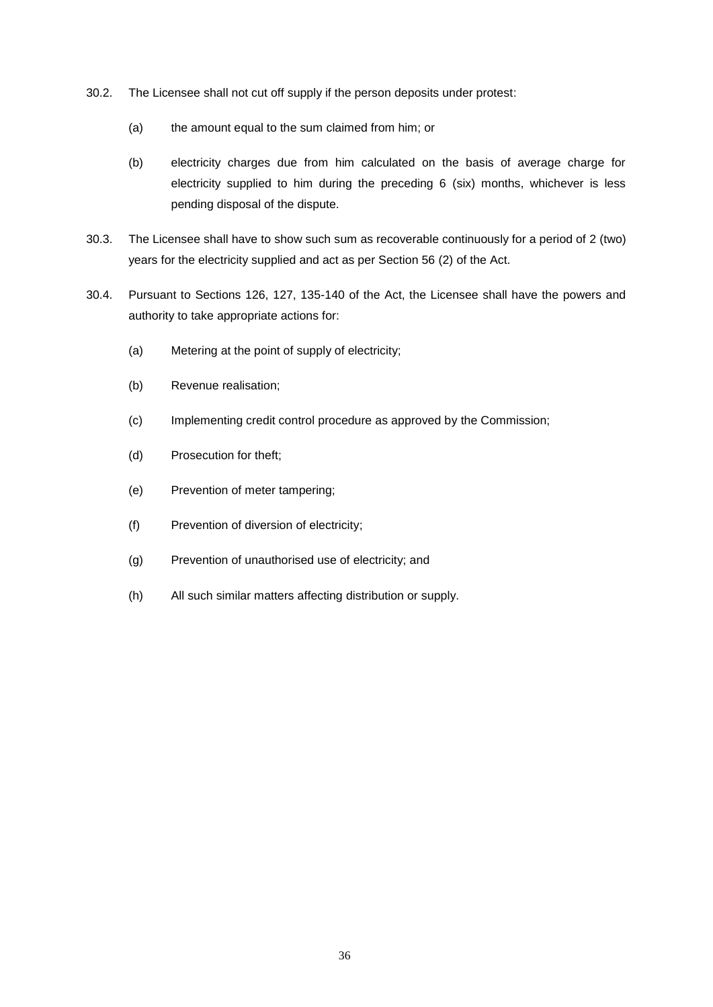- 30.2. The Licensee shall not cut off supply if the person deposits under protest:
	- (a) the amount equal to the sum claimed from him; or
	- (b) electricity charges due from him calculated on the basis of average charge for electricity supplied to him during the preceding 6 (six) months, whichever is less pending disposal of the dispute.
- 30.3. The Licensee shall have to show such sum as recoverable continuously for a period of 2 (two) years for the electricity supplied and act as per Section 56 (2) of the Act.
- 30.4. Pursuant to Sections 126, 127, 135-140 of the Act, the Licensee shall have the powers and authority to take appropriate actions for:
	- (a) Metering at the point of supply of electricity;
	- (b) Revenue realisation;
	- (c) Implementing credit control procedure as approved by the Commission;
	- (d) Prosecution for theft;
	- (e) Prevention of meter tampering;
	- (f) Prevention of diversion of electricity;
	- (g) Prevention of unauthorised use of electricity; and
	- (h) All such similar matters affecting distribution or supply.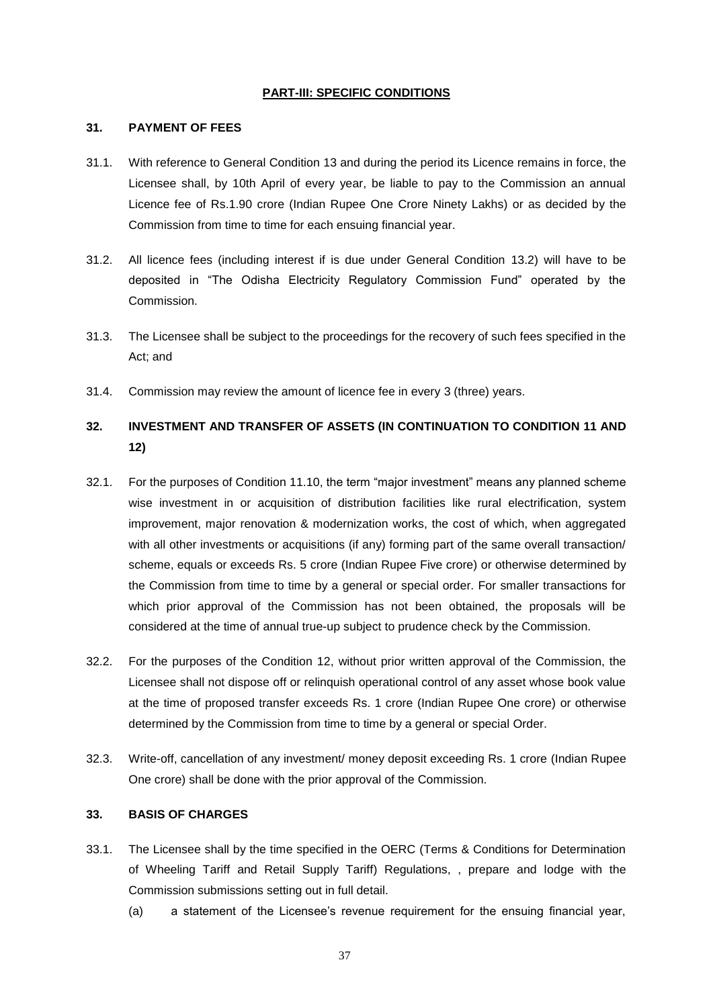#### **PART-III: SPECIFIC CONDITIONS**

#### <span id="page-36-2"></span>**31. PAYMENT OF FEES**

- 31.1. With reference to General Condition [13](#page-21-1) and during the period its Licence remains in force, the Licensee shall, by 10th April of every year, be liable to pay to the Commission an annual Licence fee of Rs.1.90 crore (Indian Rupee One Crore Ninety Lakhs) or as decided by the Commission from time to time for each ensuing financial year.
- 31.2. All licence fees (including interest if is due under General Condition [13.2\)](#page-21-2) will have to be deposited in "The Odisha Electricity Regulatory Commission Fund" operated by the Commission.
- 31.3. The Licensee shall be subject to the proceedings for the recovery of such fees specified in the Act; and
- 31.4. Commission may review the amount of licence fee in every 3 (three) years.

# <span id="page-36-0"></span>**32. INVESTMENT AND TRANSFER OF ASSETS (IN CONTINUATION TO CONDITION [11](#page-17-1) AND [12\)](#page-20-2)**

- <span id="page-36-1"></span>32.1. For the purposes of Condition 11.10, the term "major investment" means any planned scheme wise investment in or acquisition of distribution facilities like rural electrification, system improvement, major renovation & modernization works, the cost of which, when aggregated with all other investments or acquisitions (if any) forming part of the same overall transaction/ scheme, equals or exceeds Rs. 5 crore (Indian Rupee Five crore) or otherwise determined by the Commission from time to time by a general or special order. For smaller transactions for which prior approval of the Commission has not been obtained, the proposals will be considered at the time of annual true-up subject to prudence check by the Commission.
- 32.2. For the purposes of the Condition 12, without prior written approval of the Commission, the Licensee shall not dispose off or relinquish operational control of any asset whose book value at the time of proposed transfer exceeds Rs. 1 crore (Indian Rupee One crore) or otherwise determined by the Commission from time to time by a general or special Order.
- 32.3. Write-off, cancellation of any investment/ money deposit exceeding Rs. 1 crore (Indian Rupee One crore) shall be done with the prior approval of the Commission.

# **33. BASIS OF CHARGES**

- <span id="page-36-4"></span><span id="page-36-3"></span>33.1. The Licensee shall by the time specified in the OERC (Terms & Conditions for Determination of Wheeling Tariff and Retail Supply Tariff) Regulations, , prepare and lodge with the Commission submissions setting out in full detail.
	- (a) a statement of the Licensee's revenue requirement for the ensuing financial year,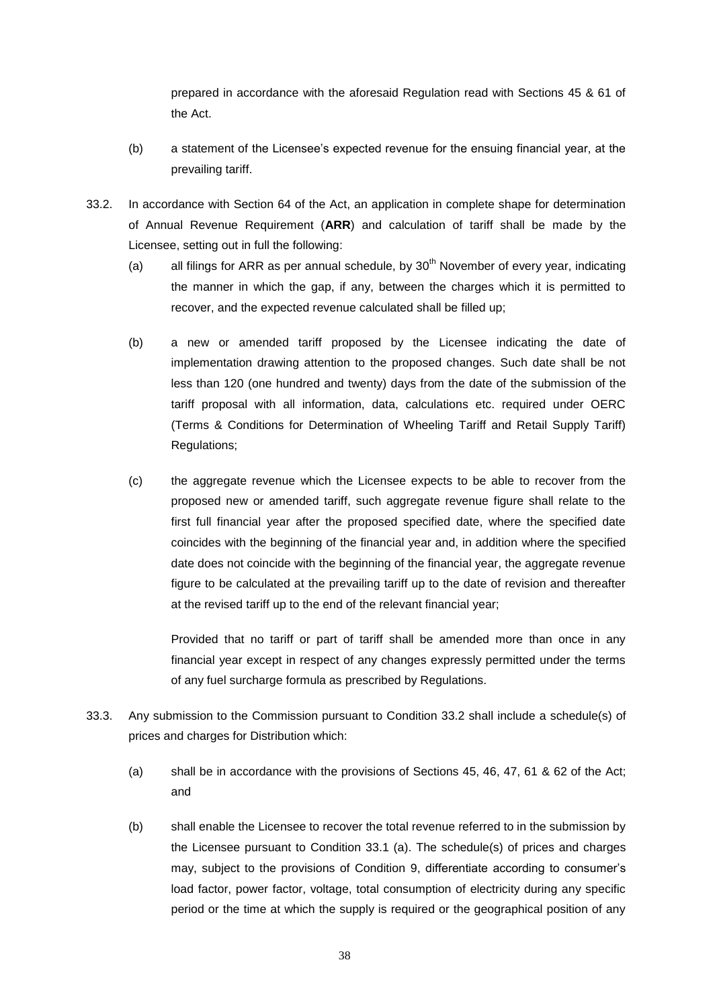prepared in accordance with the aforesaid Regulation read with Sections 45 & 61 of the Act.

- (b) a statement of the Licensee's expected revenue for the ensuing financial year, at the prevailing tariff.
- <span id="page-37-2"></span><span id="page-37-1"></span><span id="page-37-0"></span>33.2. In accordance with Section 64 of the Act, an application in complete shape for determination of Annual Revenue Requirement (**ARR**) and calculation of tariff shall be made by the Licensee, setting out in full the following:
	- (a) all filings for ARR as per annual schedule, by  $30<sup>th</sup>$  November of every year, indicating the manner in which the gap, if any, between the charges which it is permitted to recover, and the expected revenue calculated shall be filled up;
	- (b) a new or amended tariff proposed by the Licensee indicating the date of implementation drawing attention to the proposed changes. Such date shall be not less than 120 (one hundred and twenty) days from the date of the submission of the tariff proposal with all information, data, calculations etc. required under OERC (Terms & Conditions for Determination of Wheeling Tariff and Retail Supply Tariff) Regulations;
	- (c) the aggregate revenue which the Licensee expects to be able to recover from the proposed new or amended tariff, such aggregate revenue figure shall relate to the first full financial year after the proposed specified date, where the specified date coincides with the beginning of the financial year and, in addition where the specified date does not coincide with the beginning of the financial year, the aggregate revenue figure to be calculated at the prevailing tariff up to the date of revision and thereafter at the revised tariff up to the end of the relevant financial year;

<span id="page-37-3"></span>Provided that no tariff or part of tariff shall be amended more than once in any financial year except in respect of any changes expressly permitted under the terms of any fuel surcharge formula as prescribed by Regulations.

- 33.3. Any submission to the Commission pursuant to Condition [33.2](#page-37-0) shall include a schedule(s) of prices and charges for Distribution which:
	- (a) shall be in accordance with the provisions of Sections 45, 46, 47, 61 & 62 of the Act; and
	- (b) shall enable the Licensee to recover the total revenue referred to in the submission by the Licensee pursuant to Condition [33.1](#page-36-3) [\(a\).](#page-36-4) The schedule(s) of prices and charges may, subject to the provisions of Condition [9,](#page-15-0) differentiate according to consumer's load factor, power factor, voltage, total consumption of electricity during any specific period or the time at which the supply is required or the geographical position of any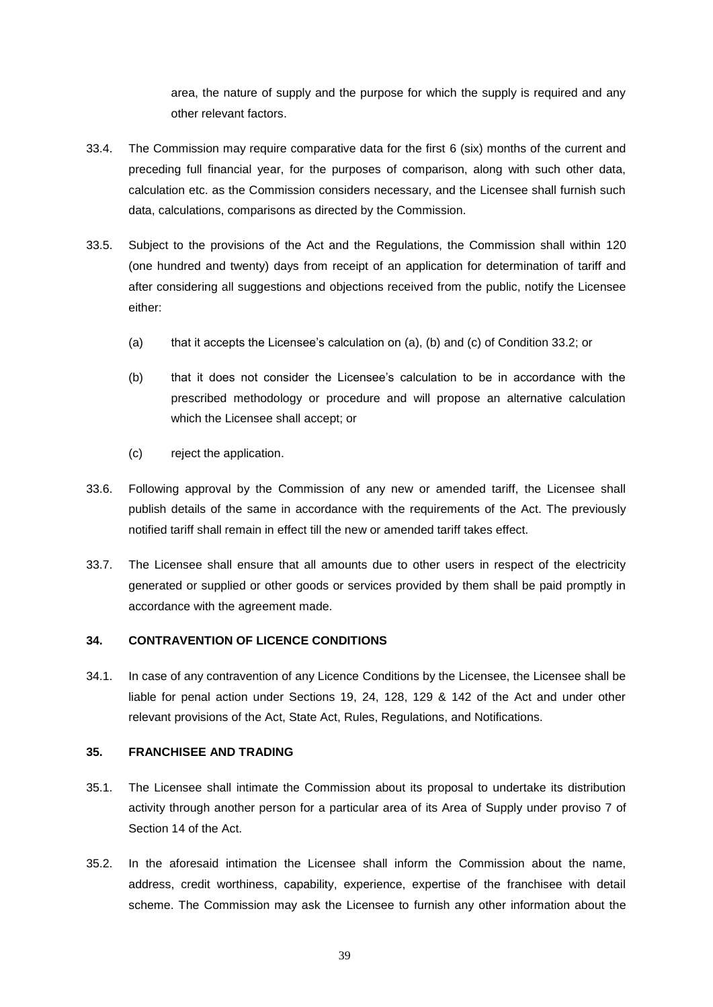area, the nature of supply and the purpose for which the supply is required and any other relevant factors.

- 33.4. The Commission may require comparative data for the first 6 (six) months of the current and preceding full financial year, for the purposes of comparison, along with such other data, calculation etc. as the Commission considers necessary, and the Licensee shall furnish such data, calculations, comparisons as directed by the Commission.
- 33.5. Subject to the provisions of the Act and the Regulations, the Commission shall within 120 (one hundred and twenty) days from receipt of an application for determination of tariff and after considering all suggestions and objections received from the public, notify the Licensee either:
	- (a) that it accepts the Licensee's calculation on [\(a\),](#page-37-1) [\(b\)](#page-37-2) and [\(c\)](#page-37-3) of Condition [33.2;](#page-37-0) or
	- (b) that it does not consider the Licensee's calculation to be in accordance with the prescribed methodology or procedure and will propose an alternative calculation which the Licensee shall accept; or
	- (c) reject the application.
- 33.6. Following approval by the Commission of any new or amended tariff, the Licensee shall publish details of the same in accordance with the requirements of the Act. The previously notified tariff shall remain in effect till the new or amended tariff takes effect.
- 33.7. The Licensee shall ensure that all amounts due to other users in respect of the electricity generated or supplied or other goods or services provided by them shall be paid promptly in accordance with the agreement made.

# **34. CONTRAVENTION OF LICENCE CONDITIONS**

34.1. In case of any contravention of any Licence Conditions by the Licensee, the Licensee shall be liable for penal action under Sections 19, 24, 128, 129 & 142 of the Act and under other relevant provisions of the Act, State Act, Rules, Regulations, and Notifications.

# **35. FRANCHISEE AND TRADING**

- 35.1. The Licensee shall intimate the Commission about its proposal to undertake its distribution activity through another person for a particular area of its Area of Supply under proviso 7 of Section 14 of the Act.
- 35.2. In the aforesaid intimation the Licensee shall inform the Commission about the name, address, credit worthiness, capability, experience, expertise of the franchisee with detail scheme. The Commission may ask the Licensee to furnish any other information about the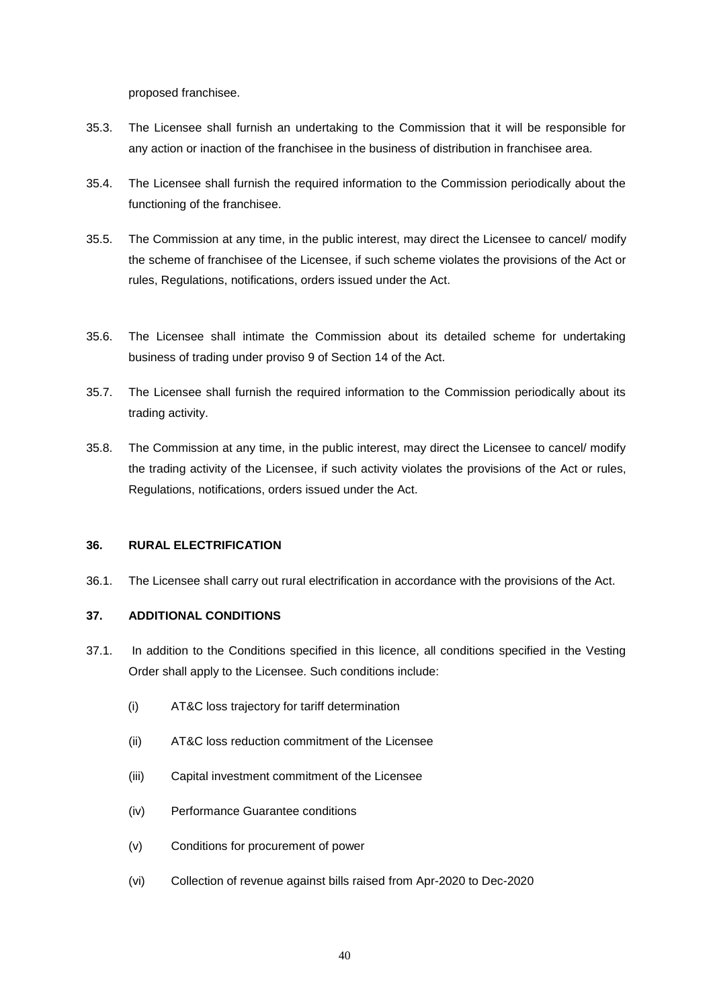proposed franchisee.

- 35.3. The Licensee shall furnish an undertaking to the Commission that it will be responsible for any action or inaction of the franchisee in the business of distribution in franchisee area.
- 35.4. The Licensee shall furnish the required information to the Commission periodically about the functioning of the franchisee.
- 35.5. The Commission at any time, in the public interest, may direct the Licensee to cancel/ modify the scheme of franchisee of the Licensee, if such scheme violates the provisions of the Act or rules, Regulations, notifications, orders issued under the Act.
- 35.6. The Licensee shall intimate the Commission about its detailed scheme for undertaking business of trading under proviso 9 of Section 14 of the Act.
- 35.7. The Licensee shall furnish the required information to the Commission periodically about its trading activity.
- 35.8. The Commission at any time, in the public interest, may direct the Licensee to cancel/ modify the trading activity of the Licensee, if such activity violates the provisions of the Act or rules, Regulations, notifications, orders issued under the Act.

# **36. RURAL ELECTRIFICATION**

36.1. The Licensee shall carry out rural electrification in accordance with the provisions of the Act.

# **37. ADDITIONAL CONDITIONS**

- 37.1. In addition to the Conditions specified in this licence, all conditions specified in the Vesting Order shall apply to the Licensee. Such conditions include:
	- (i) AT&C loss trajectory for tariff determination
	- (ii) AT&C loss reduction commitment of the Licensee
	- (iii) Capital investment commitment of the Licensee
	- (iv) Performance Guarantee conditions
	- (v) Conditions for procurement of power
	- (vi) Collection of revenue against bills raised from Apr-2020 to Dec-2020